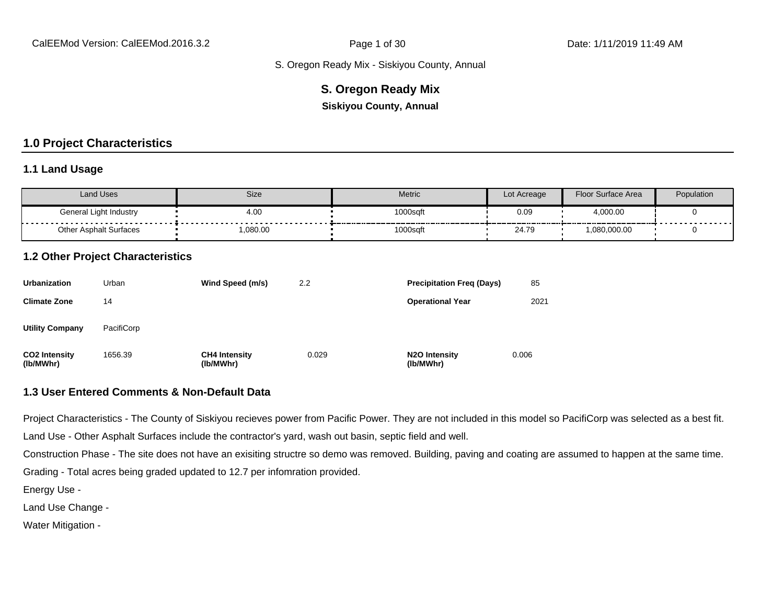### **S. Oregon Ready Mix**

**Siskiyou County, Annual**

# **1.0 Project Characteristics**

#### **1.1 Land Usage**

| <b>Land Uses</b>              | Size    | Metric   | Lot Acreage | Floor Surface Area | Population |
|-------------------------------|---------|----------|-------------|--------------------|------------|
| General Light Industry<br>.   | 4.00    | 1000sqft | 0.09        | 4,000.00           | .          |
| <b>Other Asphalt Surfaces</b> | ,080.00 | 1000sqft | 24.79       | 1,080,000.00       |            |

#### **1.2 Other Project Characteristics**

| <b>Urbanization</b>               | Urban      | Wind Speed (m/s)                  | 2.2   | <b>Precipitation Freg (Days)</b>        | 85    |
|-----------------------------------|------------|-----------------------------------|-------|-----------------------------------------|-------|
| <b>Climate Zone</b>               | 14         |                                   |       | <b>Operational Year</b>                 | 2021  |
| <b>Utility Company</b>            | PacifiCorp |                                   |       |                                         |       |
| <b>CO2 Intensity</b><br>(lb/MWhr) | 1656.39    | <b>CH4 Intensity</b><br>(lb/MWhr) | 0.029 | N <sub>2</sub> O Intensity<br>(lb/MWhr) | 0.006 |

#### **1.3 User Entered Comments & Non-Default Data**

Project Characteristics - The County of Siskiyou recieves power from Pacific Power. They are not included in this model so PacifiCorp was selected as a best fit.

Land Use - Other Asphalt Surfaces include the contractor's yard, wash out basin, septic field and well.

Construction Phase - The site does not have an exisiting structre so demo was removed. Building, paving and coating are assumed to happen at the same time.

Grading - Total acres being graded updated to 12.7 per infomration provided.

Energy Use -

Land Use Change -

Water Mitigation -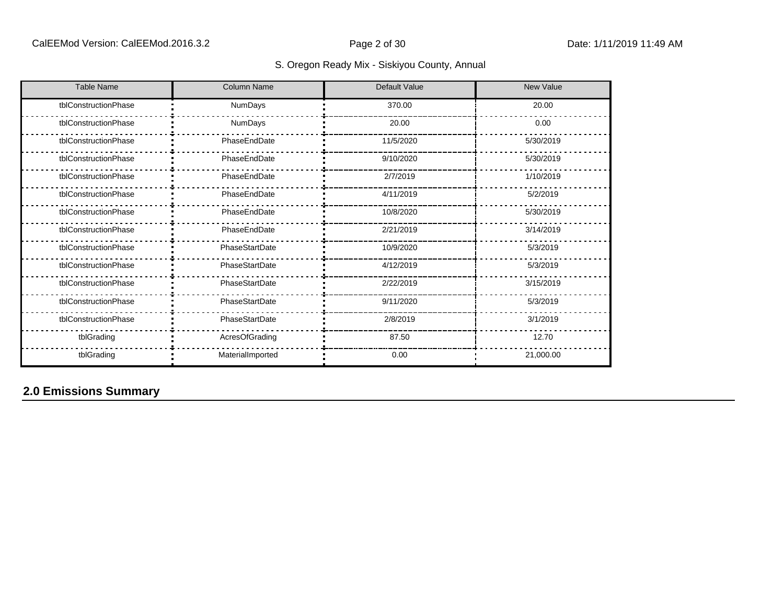| <b>Table Name</b>    | <b>Column Name</b> | <b>Default Value</b> | <b>New Value</b> |
|----------------------|--------------------|----------------------|------------------|
| tblConstructionPhase | <b>NumDays</b>     | 370.00               | 20.00            |
| tblConstructionPhase | NumDays            | 20.00                | 0.00             |
| tblConstructionPhase | PhaseEndDate       | 11/5/2020            | 5/30/2019        |
| tblConstructionPhase | PhaseEndDate       | 9/10/2020            | 5/30/2019        |
| tblConstructionPhase | PhaseEndDate       | 2/7/2019             | 1/10/2019        |
| tblConstructionPhase | PhaseEndDate       | 4/11/2019            | 5/2/2019         |
| tblConstructionPhase | PhaseEndDate       | 10/8/2020            | 5/30/2019        |
| tblConstructionPhase | PhaseEndDate       | 2/21/2019            | 3/14/2019        |
| tblConstructionPhase | PhaseStartDate     | 10/9/2020            | 5/3/2019         |
| tblConstructionPhase | PhaseStartDate     | 4/12/2019            | 5/3/2019         |
| tblConstructionPhase | PhaseStartDate     | 2/22/2019            | 3/15/2019        |
| tblConstructionPhase | PhaseStartDate     | 9/11/2020            | 5/3/2019         |
| tblConstructionPhase | PhaseStartDate     | 2/8/2019             | 3/1/2019         |
| tblGrading           | AcresOfGrading     | 87.50                | 12.70            |
| tblGrading           | MaterialImported   | 0.00                 | 21,000.00        |

# **2.0 Emissions Summary**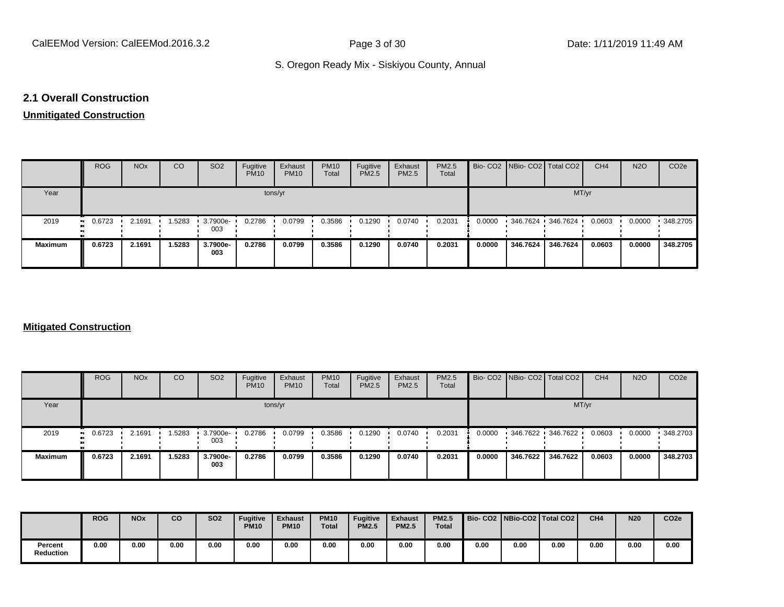#### **2.1 Overall Construction**

# **Unmitigated Construction**

|                      | <b>ROG</b> | <b>NO<sub>x</sub></b> | CO     | SO <sub>2</sub> | Fugitive<br><b>PM10</b> | Exhaust<br><b>PM10</b> | <b>PM10</b><br>Total | Fugitive<br><b>PM2.5</b> | Exhaust<br><b>PM2.5</b> | PM2.5<br>Total |        | Bio- CO2 NBio- CO2 Total CO2 |                   | CH <sub>4</sub> | <b>N2O</b> | CO <sub>2</sub> e |
|----------------------|------------|-----------------------|--------|-----------------|-------------------------|------------------------|----------------------|--------------------------|-------------------------|----------------|--------|------------------------------|-------------------|-----------------|------------|-------------------|
| Year                 |            |                       |        |                 |                         | tons/yr                |                      |                          |                         |                |        |                              | MT/yr             |                 |            |                   |
| 2019<br>$\mathbf{u}$ | 0.6723     | 2.1691                | 1.5283 | 3.7900e-<br>003 | 0.2786                  | 0.0799                 | 0.3586               | 0.1290                   | 0.0740                  | 0.2031         | 0.0000 |                              | 346.7624 346.7624 | 0.0603          | 0.0000     | 348.2705          |
| <b>Maximum</b>       | 0.6723     | 2.1691                | 1.5283 | 3.7900e-<br>003 | 0.2786                  | 0.0799                 | 0.3586               | 0.1290                   | 0.0740                  | 0.2031         | 0.0000 | 346.7624                     | 346.7624          | 0.0603          | 0.0000     | 348.2705          |

#### **Mitigated Construction**

|                | <b>ROG</b>            | <b>NO<sub>x</sub></b> | CO     | SO <sub>2</sub> | Fugitive<br><b>PM10</b> | Exhaust<br><b>PM10</b> | <b>PM10</b><br>Total | Fugitive<br><b>PM2.5</b> | Exhaust<br>PM2.5 | <b>PM2.5</b><br>Total |        | Bio- CO2 NBio- CO2 Total CO2 |                   | CH <sub>4</sub> | <b>N2O</b> | CO <sub>2</sub> e |
|----------------|-----------------------|-----------------------|--------|-----------------|-------------------------|------------------------|----------------------|--------------------------|------------------|-----------------------|--------|------------------------------|-------------------|-----------------|------------|-------------------|
| Year           |                       |                       |        |                 |                         | tons/yr                |                      |                          |                  |                       |        |                              | MT/yr             |                 |            |                   |
| 2019           | $\blacksquare$ 0.6723 | 2.1691                | .5283  | 3.7900e-<br>003 | 0.2786                  | 0.0799                 | 0.3586               | 0.1290                   | 0.0740           | 0.2031                | 0.0000 |                              | 346.7622 346.7622 | 0.0603          | 0.0000     | .348.2703         |
| <b>Maximum</b> | 0.6723                | 2.1691                | 1.5283 | 3.7900e-<br>003 | 0.2786                  | 0.0799                 | 0.3586               | 0.1290                   | 0.0740           | 0.2031                | 0.0000 | 346.7622                     | 346.7622          | 0.0603          | 0.0000     | 348.2703          |

|                             | <b>ROG</b> | <b>NO<sub>x</sub></b> | CO   | <b>SO2</b> | <b>Fugitive</b><br><b>PM10</b> | <b>Exhaust</b><br><b>PM10</b> | <b>PM10</b><br><b>Total</b> | <b>Fugitive</b><br><b>PM2.5</b> | <b>Exhaust</b><br><b>PM2.5</b> | <b>PM2.5</b><br><b>Total</b> |      |      | Bio- CO2   NBio-CO2   Total CO2 | CH <sub>4</sub> | <b>N20</b> | CO <sub>2e</sub> |
|-----------------------------|------------|-----------------------|------|------------|--------------------------------|-------------------------------|-----------------------------|---------------------------------|--------------------------------|------------------------------|------|------|---------------------------------|-----------------|------------|------------------|
| Percent<br><b>Reduction</b> | 0.00       | 0.00                  | 0.00 | 0.00       | 0.00                           | 0.00                          | 0.00                        | 0.00                            | 0.00                           | 0.00                         | 0.00 | 0.00 | 0.00                            | 0.00            | 0.00       | 0.00             |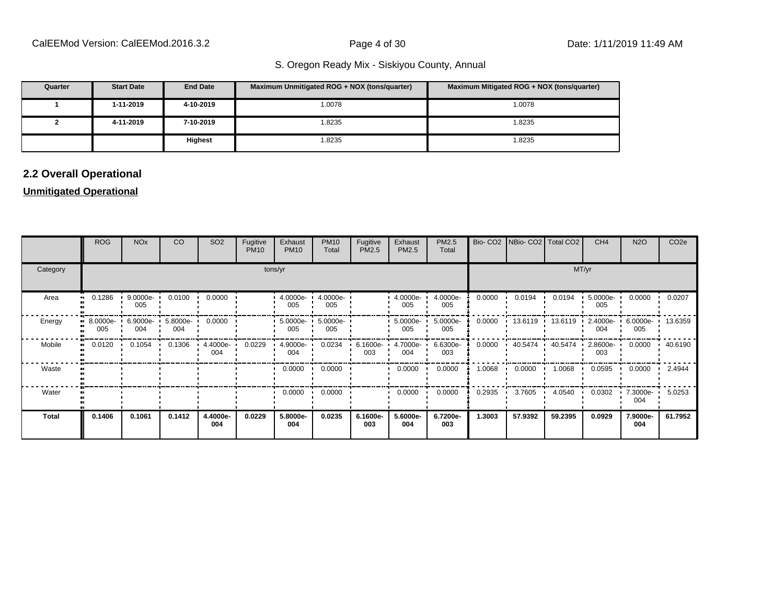| Quarter | <b>Start Date</b> | <b>End Date</b> | Maximum Unmitigated ROG + NOX (tons/quarter) | Maximum Mitigated ROG + NOX (tons/quarter) |
|---------|-------------------|-----------------|----------------------------------------------|--------------------------------------------|
|         | 1-11-2019         | 4-10-2019       | 1.0078                                       | 1.0078                                     |
|         | 4-11-2019         | 7-10-2019       | 1.8235                                       | 1.8235                                     |
|         |                   | <b>Highest</b>  | 1.8235                                       | 1.8235                                     |

# **2.2 Overall Operational**

#### **Unmitigated Operational**

|              | <b>ROG</b>        | <b>NO<sub>x</sub></b> | <b>CO</b>       | SO <sub>2</sub> | Fugitive<br><b>PM10</b> | Exhaust<br><b>PM10</b> | <b>PM10</b><br>Total | Fugitive<br>PM2.5 | Exhaust<br>PM2.5   | PM2.5<br>Total  | Bio-CO <sub>2</sub> | NBio- CO2   Total CO2 |         | CH <sub>4</sub>    | <b>N2O</b>      | CO <sub>2e</sub> |
|--------------|-------------------|-----------------------|-----------------|-----------------|-------------------------|------------------------|----------------------|-------------------|--------------------|-----------------|---------------------|-----------------------|---------|--------------------|-----------------|------------------|
| Category     |                   |                       |                 |                 |                         | tons/yr                |                      | MT/yr             |                    |                 |                     |                       |         |                    |                 |                  |
| Area<br>-91  | 0.1286            | 9.0000e-<br>005       | 0.0100          | 0.0000          |                         | $4.0000e -$<br>005     | 4.0000e-<br>005      |                   | 4.0000e-<br>005    | 4.0000e-<br>005 | 0.0000              | 0.0194                | 0.0194  | 5.0000e-<br>005    | 0.0000          | 0.0207           |
| Energy       | 8.0000e- ·<br>005 | 6.9000e-<br>004       | 5.8000e-<br>004 | 0.0000          |                         | $5.0000e -$<br>005     | 5.0000e-<br>005      |                   | $5.0000e -$<br>005 | 5.0000e-<br>005 | 0.0000              | 13.6119               | 13.6119 | $2.4000e -$<br>004 | 6.0000e-<br>005 | 13.6359          |
| Mobile       | 0.0120            | 0.1054                | 0.1306          | 4.4000e-<br>004 | 0.0229                  | 4.9000e-<br>004        | 0.0234               | 6.1600e-<br>003   | 4.7000e-<br>004    | 6.6300e-<br>003 | 0.0000              | 40.5474               | 40.5474 | $2.8600e-$<br>003  | 0.0000          | 40.6190          |
| Waste        |                   |                       |                 |                 |                         | 0.0000                 | 0.0000               |                   | 0.0000             | 0.0000          | 1.0068              | 0.0000                | 1.0068  | 0.0595             | 0.0000          | 2.4944           |
| Water        |                   |                       |                 |                 |                         | 0.0000                 | 0.0000               |                   | 0.0000             | 0.0000          | 0.2935              | 3.7605                | 4.0540  | 0.0302             | 7.3000e-<br>004 | 5.0253           |
| <b>Total</b> | 0.1406            | 0.1061                | 0.1412          | 4.4000e-<br>004 | 0.0229                  | 5.8000e-<br>004        | 0.0235               | 6.1600e-<br>003   | 5.6000e-<br>004    | 6.7200e-<br>003 | 1.3003              | 57.9392               | 59.2395 | 0.0929             | 7.9000e-<br>004 | 61.7952          |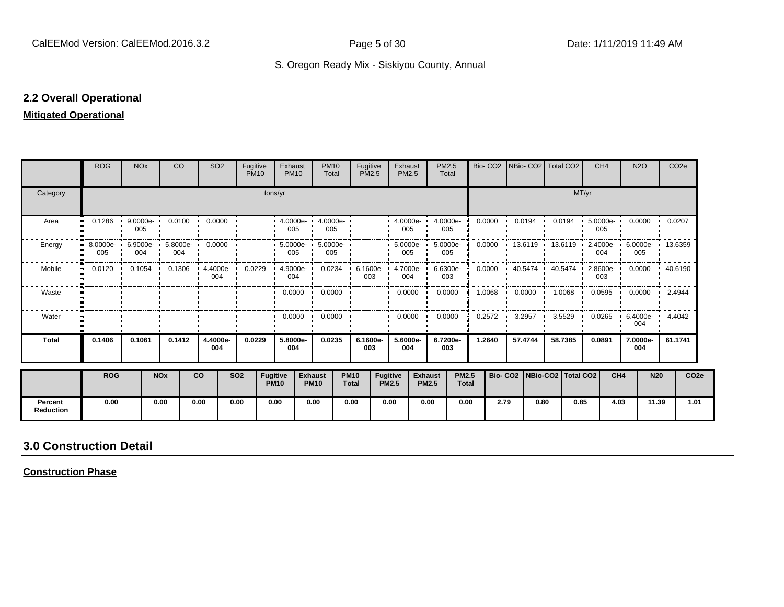#### **2.2 Overall Operational**

#### **Mitigated Operational**

|                             | <b>ROG</b>                               | <b>NO<sub>x</sub></b> |                       | <b>CO</b> | SO <sub>2</sub>                         | Fugitive<br><b>PM10</b> |                                | Exhaust<br><b>PM10</b> | <b>PM10</b><br>Total                                                                         | Fugitive<br><b>PM2.5</b>    |                                 | Exhaust<br><b>PM2.5</b> |                                | PM2.5<br>Total             |                              |        | Bio- CO2 NBio- CO2 Total CO2                          |              |                        | CH <sub>4</sub> |                 | <b>N2O</b>                       | CO <sub>2e</sub> |                  |
|-----------------------------|------------------------------------------|-----------------------|-----------------------|-----------|-----------------------------------------|-------------------------|--------------------------------|------------------------|----------------------------------------------------------------------------------------------|-----------------------------|---------------------------------|-------------------------|--------------------------------|----------------------------|------------------------------|--------|-------------------------------------------------------|--------------|------------------------|-----------------|-----------------|----------------------------------|------------------|------------------|
| Category                    |                                          |                       |                       |           |                                         |                         | tons/yr                        |                        |                                                                                              |                             |                                 |                         |                                |                            |                              |        |                                                       |              | MT/yr                  |                 |                 |                                  |                  |                  |
| Area                        | $\bullet$                                | 005                   |                       |           | $0.1286$ $\cdot$ 9.0000e- 0.0100 0.0000 |                         |                                | 005                    | $\cdot$ 4.0000e- $\cdot$ 4.0000e-<br>. .<br>005                                              |                             |                                 | 005                     |                                | $4.0000e - 4.0000e$<br>005 |                              | 0.0000 | 0.0194                                                |              | 0.0194                 | 5.0000e<br>005  |                 | $0.0000 \cdot 0.0207$            |                  |                  |
| Energy                      | 8.0000e- 6.9000e- 5.8000e- 0.0000<br>005 | 004                   |                       | 004       |                                         |                         |                                | 005                    | $: 5.0000e - 5.0000e -$<br>005                                                               |                             |                                 | $-5.0000e-$<br>005      |                                | 5.0000e-<br>005            |                              | 0.0000 | 13.6119                                               | $\mathbf{r}$ | $13.6119$ $\cdot$      | 004             |                 | 2.4000e- 6.0000e- 13.6359<br>005 |                  |                  |
| Mobile                      | $\bullet$                                |                       |                       |           | 004                                     |                         |                                | 004                    | 0.0120 · 0.1054 · 0.1306 · 4.4000e · 0.0229 · 4.9000e · 0.0234 · 6.1600e · 4.7000e · 6.6300e | 003                         |                                 | 004                     |                                | 003                        |                              | 0.0000 | $\cdot$ 40.5474 · 40.5474 · 2.8600e- 0.0000 · 40.6190 |              |                        | 003             |                 |                                  |                  |                  |
| Waste                       |                                          |                       |                       |           |                                         |                         |                                |                        | $0.0000$ $\cdot$ 0.0000 $\cdot$                                                              |                             |                                 | $0.0000$ $\cdot$        |                                | 0.0000                     |                              | 1.0068 | 0.0000                                                |              | 1.0068<br>$\mathbf{r}$ |                 |                 | $0.0595$ $0.0000$ $1.4944$       |                  |                  |
| Water                       |                                          |                       |                       |           |                                         |                         |                                | $0.0000$ $\cdot$       | 0.0000                                                                                       |                             |                                 | 0.0000                  |                                | 0.0000                     |                              | 0.2572 | 3.2957                                                |              | 3.5529                 | 0.0265          |                 | $6.4000e -$<br>004               | 4.4042           |                  |
| <b>Total</b>                | 0.1406                                   | 0.1061                |                       | 0.1412    | 4.4000e-<br>004                         | 0.0229                  |                                | 5.8000e-<br>004        | 0.0235                                                                                       | 6.1600e-<br>003             |                                 | 5.6000e-<br>004         |                                | 6.7200e-<br>003            |                              | 1.2640 | 57.4744                                               |              | 58.7385                | 0.0891          |                 | 7.0000e-<br>004                  | 61.1741          |                  |
|                             | <b>ROG</b>                               |                       | <b>NO<sub>x</sub></b> |           | <b>CO</b>                               | <b>SO2</b>              | <b>Fugitive</b><br><b>PM10</b> |                        | <b>Exhaust</b><br><b>PM10</b>                                                                | <b>PM10</b><br><b>Total</b> | <b>Fugitive</b><br><b>PM2.5</b> |                         | <b>Exhaust</b><br><b>PM2.5</b> |                            | <b>PM2.5</b><br><b>Total</b> |        | Bio- CO2   NBio-CO2   Total CO2                       |              |                        |                 | CH <sub>4</sub> | <b>N20</b>                       |                  | CO <sub>2e</sub> |
| Percent<br><b>Reduction</b> | 0.00                                     |                       | 0.00                  |           | 0.00                                    | 0.00                    | 0.00                           |                        | 0.00                                                                                         | 0.00                        | 0.00                            |                         | 0.00                           |                            | 0.00                         | 2.79   |                                                       | 0.80         | 0.85                   |                 | 4.03            | 11.39                            |                  | 1.01             |

# **3.0 Construction Detail**

**Construction Phase**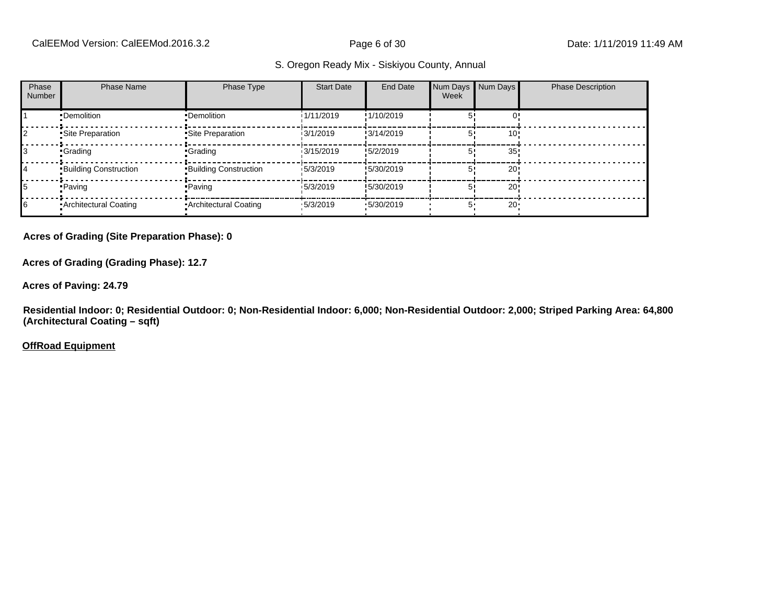| Phase<br><b>Number</b> | <b>Phase Name</b>            | Phase Type                   | <b>Start Date</b> | End Date   | Num Days<br>Week | Num Days        | <b>Phase Description</b> |
|------------------------|------------------------------|------------------------------|-------------------|------------|------------------|-----------------|--------------------------|
|                        | •Demolition                  | •Demolition                  | 1/11/2019         | !1/10/2019 |                  |                 |                          |
|                        | Site Preparation             | Site Preparation             | 13/1/2019         | !3/14/2019 |                  | 10!             |                          |
| IЗ                     | <b>Crading</b>               | <b>Crading</b>               | 13/15/2019        | !5/2/2019  |                  | 35 <sub>1</sub> |                          |
| 14                     | <b>Building Construction</b> | <b>Building Construction</b> | 15/3/2019         | !5/30/2019 |                  | 20!             |                          |
| 15                     | • Paving                     | • Paving                     | 15/3/2019         | !5/30/2019 |                  | 20!             |                          |
| 16                     | Architectural Coating        | • Architectural Coating      | 15/3/2019         | .5/30/2019 | 5'               | $20 -$          |                          |

**Acres of Grading (Site Preparation Phase): 0**

**Acres of Grading (Grading Phase): 12.7**

**Acres of Paving: 24.79**

**Residential Indoor: 0; Residential Outdoor: 0; Non-Residential Indoor: 6,000; Non-Residential Outdoor: 2,000; Striped Parking Area: 64,800 (Architectural Coating – sqft)**

**OffRoad Equipment**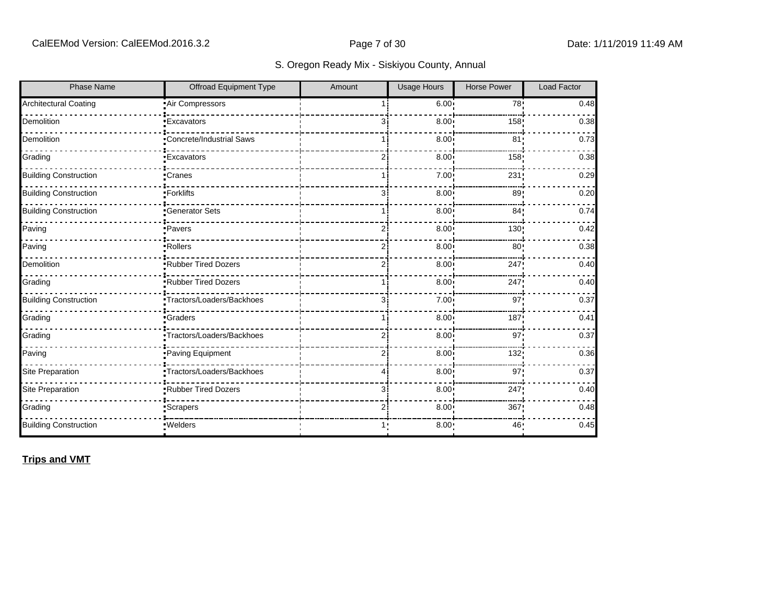| <b>Phase Name</b>            | <b>Offroad Equipment Type</b>  | Amount         | <b>Usage Hours</b> | <b>Horse Power</b> | <b>Load Factor</b> |
|------------------------------|--------------------------------|----------------|--------------------|--------------------|--------------------|
| <b>Architectural Coating</b> | Air Compressors                |                | 6.00               | 78!                | 0.48               |
| Demolition                   | <b>Excavators</b>              | зi             | 8.00               | 158                | 0.38               |
| Demolition                   | Concrete/Industrial Saws       |                | 8.00               | 81                 | 0.73               |
| Grading                      | <b>Excavators</b>              | ا 2            | 8.00 <sub>1</sub>  | 158                | 0.38               |
| <b>Building Construction</b> | ∙Cranes                        | 11             | 7.00 <sub>1</sub>  | 231                | 0.29               |
| <b>Building Construction</b> | -Forklifts                     | зi             | 8.00               | 89                 | 0.20               |
| <b>Building Construction</b> | <b>Generator Sets</b>          |                | 8.00 <sub>1</sub>  | 84 <sub>1</sub>    | 0.74               |
| Paving                       | ·Pavers                        | $\overline{2}$ | 8.00               | 130!               | 0.42               |
| Paving                       | ·Rollers                       | ا 2            | 8.00 <sub>1</sub>  | 80 <sub>1</sub>    | 0.38               |
| Demolition                   | Rubber Tired Dozers            | 2              | 8.00 <sub>1</sub>  | 247                | 0.40               |
| Grading                      | Rubber Tired Dozers            | 1 i            | 8.00               | 247                | 0.40               |
| <b>Building Construction</b> | •Tractors/Loaders/Backhoes     | зi             | 7.00 <sub>1</sub>  | 97 <sub>1</sub>    | 0.37               |
| Grading                      | <b>Graders</b>                 |                | 8.00               | 187                | 0.41               |
| Grading                      | Tractors/Loaders/Backhoes      | 2              | 8.00               | 97                 | 0.37               |
| Paving                       | Paving Equipment               | 2              | 8.00               | 132!               | 0.36               |
| Site Preparation             | -<br>Tractors/Loaders/Backhoes | 4              | 8.00               | 97                 | 0.37               |
| Site Preparation             | Rubber Tired Dozers            | 3i             | 8.00 <sub>1</sub>  | 247                | 0.40               |
| Grading                      | <b>Scrapers</b>                | $\overline{2}$ | 8.00               | 367                | 0.48               |
| <b>Building Construction</b> | ·Welders                       | 1:             | 8.00:              | 46:                | 0.45               |

**Trips and VMT**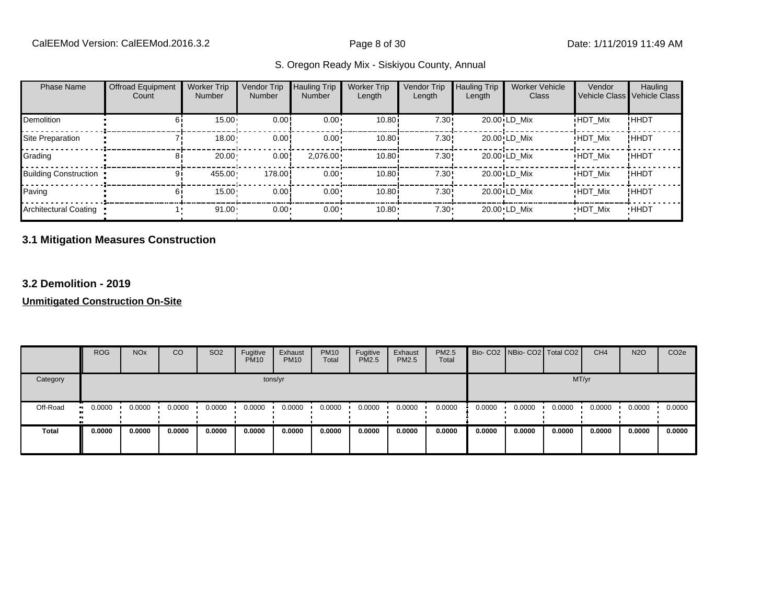| <b>Phase Name</b>            | <b>Offroad Equipment</b><br>Count | <b>Worker Trip</b><br><b>Number</b> | Vendor Trip<br><b>Number</b> | <b>Hauling Trip</b><br><b>Number</b> | <b>Worker Trip</b><br>Length | Vendor Trip<br>Length | <b>Hauling Trip</b><br>Length | <b>Worker Vehicle</b><br>Class | Vendor<br>Vehicle Class Vehicle Class | Hauling     |
|------------------------------|-----------------------------------|-------------------------------------|------------------------------|--------------------------------------|------------------------------|-----------------------|-------------------------------|--------------------------------|---------------------------------------|-------------|
| <b>Demolition</b>            |                                   | $15.00 -$                           | 0.00                         | $0.00 \cdot$                         | 10.80i                       | 7.30!                 |                               | 20.00 LD Mix                   | <b>HDT Mix</b>                        | !HHDT       |
| Site Preparation             |                                   | $18.00 -$                           | 0.00!                        | $0.00 \cdot$                         | 10.80 <sup>i</sup>           | 7.30!                 |                               | 20.00 LD Mix                   | <b>HDT Mix</b>                        | !HHDT       |
| Grading                      | 81                                | 20.00                               | 0.00!                        | $2,076.00 \cdot$                     | 10.80                        | 7.30!                 |                               | 20.00 LD Mix                   | <b>HDT Mix</b>                        | !HHDT       |
| <b>Building Construction</b> |                                   | 455.00                              | 178.00                       | $0.00 \cdot$                         | 10.80i                       | 7.30!                 |                               | 20.00 LD Mix                   | <b>HDT Mix</b>                        | !HHDT       |
| Paving                       | 61                                | $15.00 -$                           | 0.00!                        | $0.00 \cdot$                         | 10.80 <sup>i</sup>           | 7.30!                 |                               | 20.00 LD Mix                   | <b>HDT Mix</b>                        | !HHDT       |
| Architectural Coating        |                                   | $91.00 -$                           | $0.00 -$                     | 0.00                                 | 10.80                        | 7.30                  |                               | 20.00 LD Mix                   | <b>HDT Mix</b>                        | <b>HHDT</b> |

#### **3.1 Mitigation Measures Construction**

#### **3.2 Demolition - 2019**

|              | <b>ROG</b>   | <b>NO<sub>x</sub></b> | CO     | SO <sub>2</sub> | Fugitive<br><b>PM10</b> | Exhaust<br><b>PM10</b> | <b>PM10</b><br>Total | Fugitive<br><b>PM2.5</b> | Exhaust<br>PM2.5 | PM2.5<br>Total |        | Bio- CO2 NBio- CO2 Total CO2 |        | CH <sub>4</sub> | <b>N2O</b> | CO <sub>2e</sub> |
|--------------|--------------|-----------------------|--------|-----------------|-------------------------|------------------------|----------------------|--------------------------|------------------|----------------|--------|------------------------------|--------|-----------------|------------|------------------|
| Category     |              |                       |        |                 |                         | tons/yr                |                      |                          |                  |                |        |                              | MT/yr  |                 |            |                  |
| Off-Road     | 0.0000<br>ш. | 0.0000                | 0.0000 | 0.0000          | 0.0000                  | 0.0000                 | 0.0000               | 0.0000                   | 0.0000           | 0.0000         | 0.0000 | 0.0000                       | 0.0000 | 0.0000          | 0.0000     | 0.0000           |
| <b>Total</b> | 0.0000       | 0.0000                | 0.0000 | 0.0000          | 0.0000                  | 0.0000                 | 0.0000               | 0.0000                   | 0.0000           | 0.0000         | 0.0000 | 0.0000                       | 0.0000 | 0.0000          | 0.0000     | 0.0000           |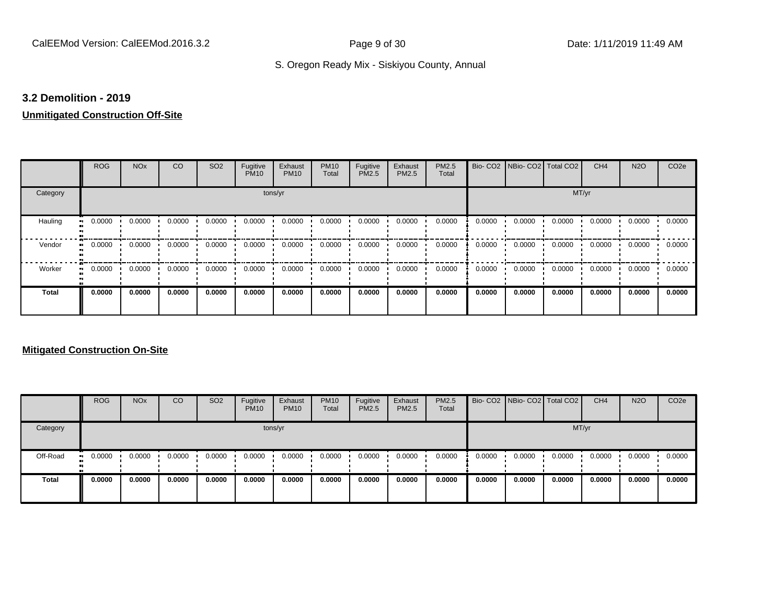#### **3.2 Demolition - 2019**

# **Unmitigated Construction Off-Site**

|                     | <b>ROG</b> | <b>NO<sub>x</sub></b> | CO     | SO <sub>2</sub> | Fugitive<br><b>PM10</b> | Exhaust<br><b>PM10</b> | <b>PM10</b><br>Total | Fugitive<br>PM2.5 | Exhaust<br>PM2.5 | PM2.5<br>Total | Bio-CO <sub>2</sub> | NBio- CO2   Total CO2 |        | CH <sub>4</sub> | <b>N2O</b> | CO <sub>2e</sub> |
|---------------------|------------|-----------------------|--------|-----------------|-------------------------|------------------------|----------------------|-------------------|------------------|----------------|---------------------|-----------------------|--------|-----------------|------------|------------------|
| Category            |            |                       |        |                 | tons/yr                 |                        |                      |                   |                  |                |                     |                       | MT/yr  |                 |            |                  |
| Hauling             | 0.0000     | 0.0000                | 0.0000 | 0.0000          | 0.0000                  | 0.0000                 | 0.0000               | 0.0000            | 0.0000           | 0.0000         | 0.0000              | 0.0000                | 0.0000 | 0.0000          | 0.0000     | 0.0000           |
| Vendor              | 0.0000     | 0.0000                | 0.0000 | 0.0000          | 0.0000                  | 0.0000                 | 0.0000               | 0.0000            | 0.0000           | 0.0000         | 0.0000              | 0.0000                | 0.0000 | 0.0000          | 0.0000     | 0.0000           |
| Worker<br>$\bullet$ | 0.0000     | 0.0000                | 0.0000 | 0.0000          | 0.0000                  | 0.0000                 | 0.0000               | 0.0000            | 0.0000           | 0.0000         | 0.0000              | 0.0000                | 0.0000 | 0.0000          | 0.0000     | 0.0000           |
| Total               | 0.0000     | 0.0000                | 0.0000 | 0.0000          | 0.0000                  | 0.0000                 | 0.0000               | 0.0000            | 0.0000           | 0.0000         | 0.0000              | 0.0000                | 0.0000 | 0.0000          | 0.0000     | 0.0000           |

|              | <b>ROG</b>           | <b>NO<sub>x</sub></b> | CO     | SO <sub>2</sub> | Fugitive<br><b>PM10</b> | Exhaust<br><b>PM10</b> | <b>PM10</b><br>Total | Fugitive<br><b>PM2.5</b> | Exhaust<br><b>PM2.5</b> | <b>PM2.5</b><br>Total |        | Bio- CO2 NBio- CO2 Total CO2 |        | CH <sub>4</sub> | <b>N2O</b> | CO <sub>2e</sub> |
|--------------|----------------------|-----------------------|--------|-----------------|-------------------------|------------------------|----------------------|--------------------------|-------------------------|-----------------------|--------|------------------------------|--------|-----------------|------------|------------------|
| Category     |                      |                       |        |                 |                         | tons/yr                |                      |                          |                         |                       |        |                              |        | MT/yr           |            |                  |
| Off-Road     | 0.0000<br><b>ALC</b> | 0.0000                | 0.0000 | 0.0000          | 0.0000                  | 0.0000                 | 0.0000               | 0.0000                   | 0.0000                  | 0.0000                | 0.0000 | 0.0000                       | 0.0000 | 0.0000          | 0.0000     | 0.0000           |
| <b>Total</b> | 0.0000               | 0.0000                | 0.0000 | 0.0000          | 0.0000                  | 0.0000                 | 0.0000               | 0.0000                   | 0.0000                  | 0.0000                | 0.0000 | 0.0000                       | 0.0000 | 0.0000          | 0.0000     | 0.0000           |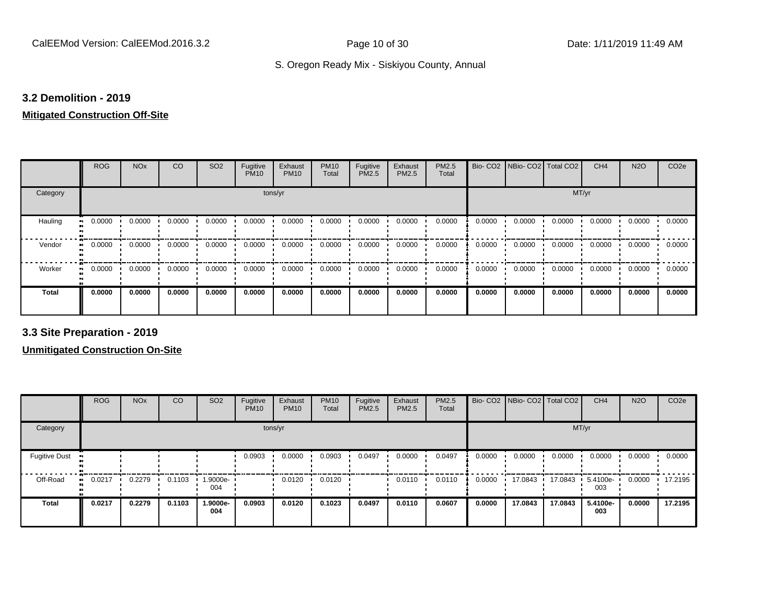#### **3.2 Demolition - 2019**

#### **Mitigated Construction Off-Site**

|              | <b>ROG</b>   | <b>NO<sub>x</sub></b> | CO     | SO <sub>2</sub> | Fugitive<br><b>PM10</b> | Exhaust<br><b>PM10</b> | <b>PM10</b><br>Total | Fugitive<br>PM2.5 | Exhaust<br><b>PM2.5</b> | PM2.5<br>Total |        | Bio- CO2   NBio- CO2   Total CO2 |        | CH <sub>4</sub> | <b>N2O</b> | CO <sub>2e</sub> |
|--------------|--------------|-----------------------|--------|-----------------|-------------------------|------------------------|----------------------|-------------------|-------------------------|----------------|--------|----------------------------------|--------|-----------------|------------|------------------|
| Category     |              |                       |        |                 | tons/yr                 |                        |                      |                   |                         |                |        |                                  | MT/yr  |                 |            |                  |
| Hauling      | 0.0000<br>ш. | 0.0000                | 0.0000 | 0.0000          | 0.0000                  | 0.0000                 | 0.0000               | 0.0000            | 0.0000                  | 0.0000         | 0.0000 | 0.0000                           | 0.0000 | 0.0000          | 0.0000     | 0.0000           |
| Vendor       | 0.0000<br>ш. | 0.0000                | 0.0000 | 0.0000          | 0.0000                  | 0.0000                 | 0.0000               | 0.0000            | 0.0000                  | 0.0000         | 0.0000 | 0.0000                           | 0.0000 | 0.0000          | 0.0000     | 0.0000           |
| Worker       | 0.0000<br>ш. | 0.0000                | 0.0000 | 0.0000          | 0.0000                  | 0.0000                 | 0.0000               | 0.0000            | 0.0000                  | 0.0000         | 0.0000 | 0.0000                           | 0.0000 | 0.0000          | 0.0000     | 0.0000           |
| <b>Total</b> | 0.0000       | 0.0000                | 0.0000 | 0.0000          | 0.0000                  | 0.0000                 | 0.0000               | 0.0000            | 0.0000                  | 0.0000         | 0.0000 | 0.0000                           | 0.0000 | 0.0000          | 0.0000     | 0.0000           |

**3.3 Site Preparation - 2019**

|                      | <b>ROG</b>   | <b>NO<sub>x</sub></b> | CO     | SO <sub>2</sub> | Fugitive<br><b>PM10</b> | Exhaust<br><b>PM10</b> | <b>PM10</b><br>Total | Fugitive<br><b>PM2.5</b> | Exhaust<br><b>PM2.5</b> | <b>PM2.5</b><br>Total |        | Bio- CO2   NBio- CO2   Total CO2 |         | CH <sub>4</sub> | <b>N2O</b> | CO <sub>2e</sub> |
|----------------------|--------------|-----------------------|--------|-----------------|-------------------------|------------------------|----------------------|--------------------------|-------------------------|-----------------------|--------|----------------------------------|---------|-----------------|------------|------------------|
| Category             |              |                       |        |                 |                         | tons/yr                |                      |                          |                         |                       |        |                                  | MT/yr   |                 |            |                  |
| <b>Fugitive Dust</b> |              |                       |        |                 | 0.0903                  | 0.0000                 | 0.0903               | 0.0497                   | 0.0000                  | 0.0497                | 0.0000 | 0.0000                           | 0.0000  | 0.0000          | 0.0000     | 0.0000           |
| Off-Road             | 0.0217<br>ш. | 0.2279                | 0.1103 | 1.9000e-<br>004 |                         | 0.0120                 | 0.0120               |                          | 0.0110                  | 0.0110                | 0.0000 | 17.0843                          | 17.0843 | 5.4100e-<br>003 | 0.0000     | 17.2195          |
| <b>Total</b>         | 0.0217       | 0.2279                | 0.1103 | 1.9000e-<br>004 | 0.0903                  | 0.0120                 | 0.1023               | 0.0497                   | 0.0110                  | 0.0607                | 0.0000 | 17.0843                          | 17.0843 | 5.4100e-<br>003 | 0.0000     | 17.2195          |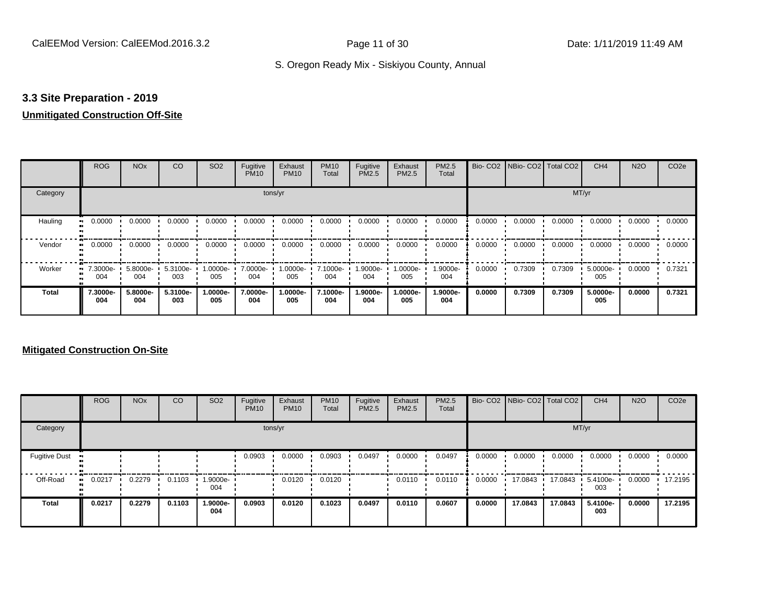#### **3.3 Site Preparation - 2019**

### **Unmitigated Construction Off-Site**

|              | <b>ROG</b>                   | <b>NO<sub>x</sub></b> | CO              | SO <sub>2</sub> | Fugitive<br><b>PM10</b> | Exhaust<br><b>PM10</b> | <b>PM10</b><br>Total | Fugitive<br>PM2.5 | Exhaust<br>PM2.5 | PM2.5<br>Total  | Bio-CO <sub>2</sub> | NBio- CO2   Total CO2 |        | CH <sub>4</sub> | <b>N2O</b> | CO <sub>2e</sub> |
|--------------|------------------------------|-----------------------|-----------------|-----------------|-------------------------|------------------------|----------------------|-------------------|------------------|-----------------|---------------------|-----------------------|--------|-----------------|------------|------------------|
| Category     |                              |                       |                 |                 | tons/yr                 |                        |                      |                   |                  |                 |                     |                       | MT/yr  |                 |            |                  |
| Hauling<br>  | 0.0000                       | 0.0000                | 0.0000          | 0.0000          | 0.0000                  | 0.0000                 | 0.0000               | 0.0000            | 0.0000           | 0.0000          | 0.0000              | 0.0000                | 0.0000 | 0.0000          | 0.0000     | 0.0000           |
| Vendor       | 0.0000<br>$\bullet\bullet$   | 0.0000                | 0.0000          | 0.0000          | 0.0000                  | 0.0000                 | 0.0000               | 0.0000            | 0.0000           | 0.0000          | 0.0000              | 0.0000                | 0.0000 | 0.0000          | 0.0000     | 0.0000           |
| Worker       | 7.3000e-<br>$\bullet$<br>004 | 5.8000e-<br>004       | 5.3100e-<br>003 | 1.0000e-<br>005 | 7.0000e-<br>004         | 1.0000e-<br>005        | 7.1000e-<br>004      | 1.9000e-<br>004   | $.0000e-$<br>005 | 1.9000e-<br>004 | 0.0000              | 0.7309                | 0.7309 | 5.0000e-<br>005 | 0.0000     | 0.7321           |
| <b>Total</b> | 7.3000e-<br>004              | 5.8000e-<br>004       | 5.3100e-<br>003 | 1.0000e-<br>005 | 7.0000e-<br>004         | 1.0000e-<br>005        | 7.1000e-<br>004      | 1.9000e-<br>004   | .0000e-<br>005   | 1.9000e-<br>004 | 0.0000              | 0.7309                | 0.7309 | 5.0000e-<br>005 | 0.0000     | 0.7321           |

|                      | <b>ROG</b> | <b>NO<sub>x</sub></b> | CO     | SO <sub>2</sub> | Fugitive<br><b>PM10</b> | Exhaust<br><b>PM10</b> | <b>PM10</b><br>Total | Fugitive<br><b>PM2.5</b> | Exhaust<br><b>PM2.5</b> | PM2.5<br>Total |        | Bio- CO2   NBio- CO2   Total CO2 |         | CH <sub>4</sub> | <b>N2O</b> | CO <sub>2e</sub> |
|----------------------|------------|-----------------------|--------|-----------------|-------------------------|------------------------|----------------------|--------------------------|-------------------------|----------------|--------|----------------------------------|---------|-----------------|------------|------------------|
| Category             |            |                       |        |                 |                         | tons/yr                |                      |                          |                         |                |        |                                  | MT/yr   |                 |            |                  |
| <b>Fugitive Dust</b> |            |                       |        |                 | 0.0903                  | 0.0000                 | 0.0903               | 0.0497                   | 0.0000                  | 0.0497         | 0.0000 | 0.0000                           | 0.0000  | 0.0000          | 0.0000     | 0.0000           |
| Off-Road             | 0.0217<br> | 0.2279                | 0.1103 | -9000e-<br>004  |                         | 0.0120                 | 0.0120               |                          | 0.0110                  | 0.0110         | 0.0000 | 17.0843                          | 17.0843 | 5.4100e-<br>003 | 0.0000     | 17.2195          |
| <b>Total</b>         | 0.0217     | 0.2279                | 0.1103 | 1.9000e-<br>004 | 0.0903                  | 0.0120                 | 0.1023               | 0.0497                   | 0.0110                  | 0.0607         | 0.0000 | 17.0843                          | 17.0843 | 5.4100e-<br>003 | 0.0000     | 17.2195          |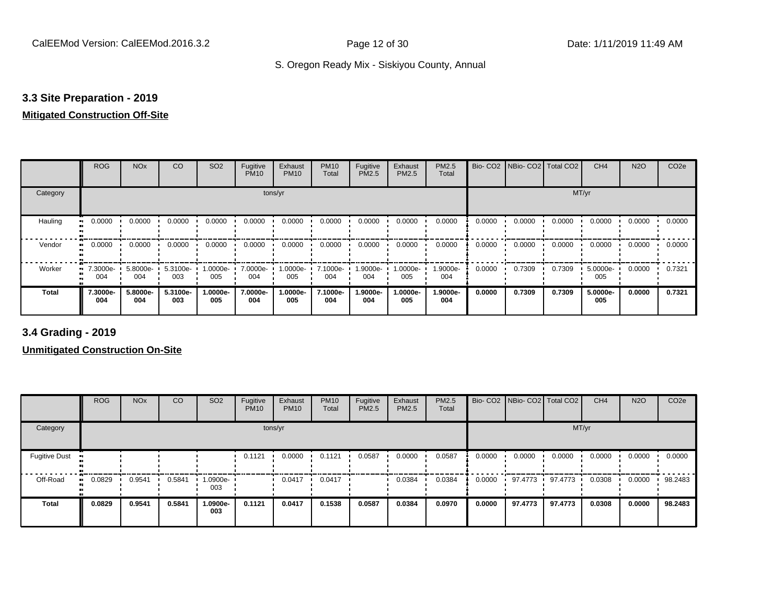# **3.3 Site Preparation - 2019**

#### **Mitigated Construction Off-Site**

|                           | <b>ROG</b>      | <b>NO<sub>x</sub></b>    | CO              | SO <sub>2</sub> | Fugitive<br><b>PM10</b> | Exhaust<br><b>PM10</b> | <b>PM10</b><br>Total | Fugitive<br>PM2.5 | Exhaust<br>PM2.5 | PM2.5<br>Total  |        | Bio- CO2   NBio- CO2   Total CO2 |        | CH <sub>4</sub> | <b>N2O</b> | CO <sub>2e</sub> |
|---------------------------|-----------------|--------------------------|-----------------|-----------------|-------------------------|------------------------|----------------------|-------------------|------------------|-----------------|--------|----------------------------------|--------|-----------------|------------|------------------|
| Category                  |                 |                          |                 |                 | tons/yr                 |                        |                      |                   |                  |                 |        |                                  | MT/yr  |                 |            |                  |
| Hauling<br>$\blacksquare$ | 0.0000          | 0.0000                   | 0.0000          | 0.0000          | 0.0000                  | 0.0000                 | 0.0000               | 0.0000            | 0.0000           | 0.0000          | 0.0000 | 0.0000                           | 0.0000 | 0.0000          | 0.0000     | 0.0000           |
| Vendor                    | 0.0000          | 0.0000                   | 0.0000          | 0.0000          | 0.0000                  | 0.0000                 | 0.0000               | 0.0000            | 0.0000           | 0.0000          | 0.0000 | 0.0000                           | 0.0000 | 0.0000          | 0.0000     | 0.0000           |
| Worker                    | 004             | 7.3000e- 5.8000e-<br>004 | 5.3100e-<br>003 | 1.0000e-<br>005 | 7.0000e-<br>004         | 1.0000e-<br>005        | 7.1000e-<br>004      | 1.9000e-<br>004   | --0000e<br>005   | 1.9000e-<br>004 | 0.0000 | 0.7309                           | 0.7309 | 5.0000e-<br>005 | 0.0000     | 0.7321           |
| Total                     | 7.3000e-<br>004 | 5.8000e-<br>004          | 5.3100e-<br>003 | -.0000e<br>005  | 7.0000e-<br>004         | 1.0000e-<br>005        | 7.1000e-<br>004      | 1.9000e-<br>004   | -.0000e<br>005   | 1.9000e-<br>004 | 0.0000 | 0.7309                           | 0.7309 | 5.0000e-<br>005 | 0.0000     | 0.7321           |

**3.4 Grading - 2019**

|                      | <b>ROG</b> | <b>NO<sub>x</sub></b> | CO     | SO <sub>2</sub> | Fugitive<br><b>PM10</b> | Exhaust<br><b>PM10</b> | <b>PM10</b><br>Total | Fugitive<br><b>PM2.5</b> | Exhaust<br><b>PM2.5</b> | PM2.5<br>Total |        | Bio- CO2   NBio- CO2   Total CO2 |         | CH <sub>4</sub> | <b>N2O</b> | CO <sub>2e</sub> |
|----------------------|------------|-----------------------|--------|-----------------|-------------------------|------------------------|----------------------|--------------------------|-------------------------|----------------|--------|----------------------------------|---------|-----------------|------------|------------------|
| Category             |            |                       |        |                 |                         | tons/yr                |                      |                          |                         |                |        |                                  | MT/yr   |                 |            |                  |
| <b>Fugitive Dust</b> |            |                       |        |                 | 0.1121                  | 0.0000                 | 0.1121               | 0.0587                   | 0.0000                  | 0.0587         | 0.0000 | 0.0000                           | 0.0000  | 0.0000          | 0.0000     | 0.0000           |
| Off-Road             | 0.0829     | 0.9541                | 0.5841 | 1.0900e-<br>003 |                         | 0.0417                 | 0.0417               |                          | 0.0384                  | 0.0384         | 0.0000 | 97.4773                          | 97.4773 | 0.0308          | 0.0000     | 98.2483          |
| <b>Total</b>         | 0.0829     | 0.9541                | 0.5841 | 1.0900e-<br>003 | 0.1121                  | 0.0417                 | 0.1538               | 0.0587                   | 0.0384                  | 0.0970         | 0.0000 | 97.4773                          | 97.4773 | 0.0308          | 0.0000     | 98.2483          |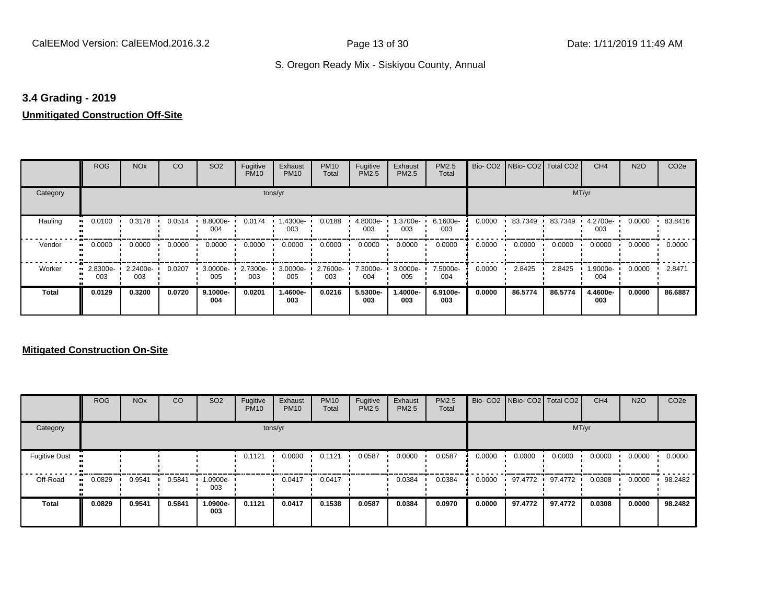#### **3.4 Grading - 2019**

# **Unmitigated Construction Off-Site**

|              | <b>ROG</b>      | <b>NO<sub>x</sub></b> | CO     | SO <sub>2</sub> | Fugitive<br><b>PM10</b> | Exhaust<br><b>PM10</b> | <b>PM10</b><br>Total | Fugitive<br>PM2.5 | Exhaust<br>PM2.5 | <b>PM2.5</b><br>Total |        | Bio- CO2   NBio- CO2   Total CO2 |         | CH <sub>4</sub> | <b>N2O</b> | CO <sub>2e</sub> |
|--------------|-----------------|-----------------------|--------|-----------------|-------------------------|------------------------|----------------------|-------------------|------------------|-----------------------|--------|----------------------------------|---------|-----------------|------------|------------------|
| Category     |                 |                       |        |                 |                         | tons/yr                |                      |                   |                  |                       |        |                                  | MT/yr   |                 |            |                  |
| Hauling      | 0.0100          | 0.3178                | 0.0514 | 8.8000e-<br>004 | 0.0174                  | 1.4300e-<br>003        | 0.0188               | 4.8000e-<br>003   | 1.3700e-<br>003  | 6.1600e-<br>003       | 0.0000 | 83.7349                          | 83.7349 | 4.2700e-<br>003 | 0.0000     | 83.8416          |
| Vendor       | 0.0000          | 0.0000                | 0.0000 | 0.0000          | 0.0000                  | 0.0000                 | 0.0000               | 0.0000            | 0.0000           | 0.0000                | 0.0000 | 0.0000                           | 0.0000  | 0.0000          | 0.0000     | 0.0000           |
| Worker       | 2.8300e-<br>003 | 2.2400e-<br>003       | 0.0207 | 3.0000e-<br>005 | 2.7300e-<br>003         | 3.0000e-<br>005        | 2.7600e-<br>003      | 7.3000e-<br>004   | 3.0000e-<br>005  | 7.5000e-<br>004       | 0.0000 | 2.8425                           | 2.8425  | 1.9000e-<br>004 | 0.0000     | 2.8471           |
| <b>Total</b> | 0.0129          | 0.3200                | 0.0720 | 9.1000e-<br>004 | 0.0201                  | 1.4600e-<br>003        | 0.0216               | 5.5300e-<br>003   | -.4000e<br>003   | 6.9100e-<br>003       | 0.0000 | 86.5774                          | 86.5774 | 4.4600e-<br>003 | 0.0000     | 86.6887          |

|                      | <b>ROG</b> | <b>NO<sub>x</sub></b> | <b>CO</b> | SO <sub>2</sub> | Fugitive<br><b>PM10</b> | Exhaust<br><b>PM10</b> | <b>PM10</b><br>Total | Fugitive<br>PM2.5 | Exhaust<br>PM2.5 | PM2.5<br>Total |        | Bio- CO2   NBio- CO2   Total CO2 |         | CH <sub>4</sub> | <b>N2O</b> | CO <sub>2e</sub> |
|----------------------|------------|-----------------------|-----------|-----------------|-------------------------|------------------------|----------------------|-------------------|------------------|----------------|--------|----------------------------------|---------|-----------------|------------|------------------|
| Category             |            |                       |           |                 |                         | tons/yr                |                      |                   |                  |                |        |                                  | MT/yr   |                 |            |                  |
| <b>Fugitive Dust</b> |            |                       |           |                 | 0.1121                  | 0.0000                 | 0.1121               | 0.0587            | 0.0000           | 0.0587         | 0.0000 | 0.0000                           | 0.0000  | 0.0000          | 0.0000     | 0.0000           |
| Off-Road             | 0.0829     | 0.9541                | 0.5841    | 1.0900e-<br>003 |                         | 0.0417                 | 0.0417               |                   | 0.0384           | 0.0384         | 0.0000 | 97.4772                          | 97.4772 | 0.0308          | 0.0000     | 98.2482          |
| <b>Total</b>         | 0.0829     | 0.9541                | 0.5841    | -.0900e<br>003  | 0.1121                  | 0.0417                 | 0.1538               | 0.0587            | 0.0384           | 0.0970         | 0.0000 | 97.4772                          | 97.4772 | 0.0308          | 0.0000     | 98.2482          |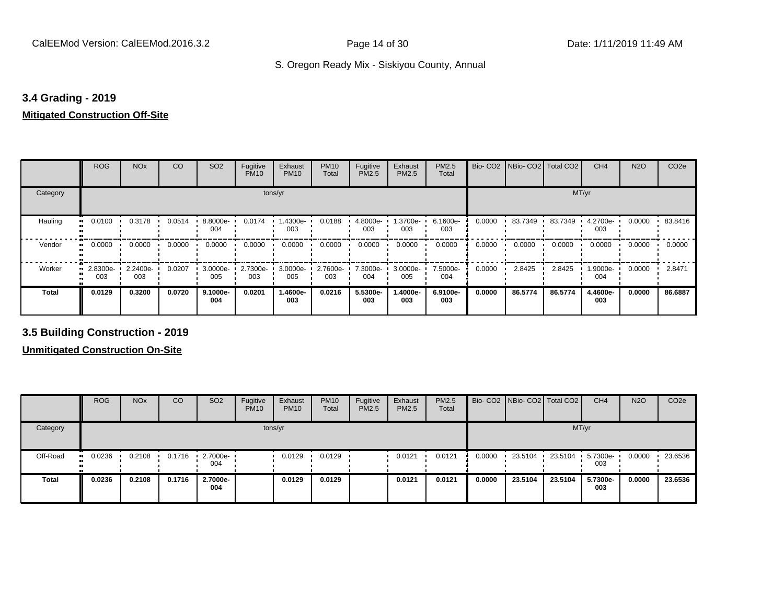#### **3.4 Grading - 2019**

#### **Mitigated Construction Off-Site**

|          | ROG             | <b>NO<sub>x</sub></b> | CO     | SO <sub>2</sub>  | Fugitive<br><b>PM10</b> | Exhaust<br><b>PM10</b> | <b>PM10</b><br>Total | Fugitive<br>PM2.5 | Exhaust<br>PM2.5 | PM2.5<br>Total  |        | Bio- CO2   NBio- CO2   Total CO2 |         | CH <sub>4</sub> | <b>N2O</b> | CO <sub>2e</sub> |
|----------|-----------------|-----------------------|--------|------------------|-------------------------|------------------------|----------------------|-------------------|------------------|-----------------|--------|----------------------------------|---------|-----------------|------------|------------------|
| Category |                 |                       |        |                  |                         | tons/yr                |                      |                   |                  |                 |        |                                  | MT/yr   |                 |            |                  |
| Hauling  | 0.0100          | 0.3178                | 0.0514 | $.8000e-$<br>004 | 0.0174                  | .4300e-<br>003         | 0.0188               | 4.8000e-<br>003   | 1.3700e-<br>003  | 6.1600e-<br>003 | 0.0000 | 83.7349                          | 83.7349 | 4.2700e-<br>003 | 0.0000     | 83.8416          |
| Vendor   | 0.0000          | 0.0000                | 0.0000 | 0.0000           | 0.0000                  | 0.0000                 | 0.0000               | 0.0000            | 0.0000           | 0.0000          | 0.0000 | 0.0000                           | 0.0000  | 0.0000          | 0.0000     | 0.0000           |
| Worker   | 2.8300e-<br>003 | 2.2400e-<br>003       | 0.0207 | 3.0000e-<br>005  | 2.7300e-<br>003         | 3.0000e-<br>005        | 2.7600e-<br>003      | 7.3000e-<br>004   | 3.0000e-<br>005  | 7.5000e-<br>004 | 0.0000 | 2.8425                           | 2.8425  | 1.9000e-<br>004 | 0.0000     | 2.8471           |
| Total    | 0.0129          | 0.3200                | 0.0720 | 9.1000e-<br>004  | 0.0201                  | 1.4600e-<br>003        | 0.0216               | 5.5300e-<br>003   | 1.4000e-<br>003  | 6.9100e-<br>003 | 0.0000 | 86.5774                          | 86.5774 | 4.4600e-<br>003 | 0.0000     | 86.6887          |

**3.5 Building Construction - 2019**

|              | <b>ROG</b>       | <b>NO<sub>x</sub></b> | CO     | SO <sub>2</sub> | Fugitive<br><b>PM10</b> | Exhaust<br><b>PM10</b> | <b>PM10</b><br>Total | Fugitive<br><b>PM2.5</b> | Exhaust<br>PM2.5 | <b>PM2.5</b><br>Total |        | Bio- CO2   NBio- CO2   Total CO2 |         | CH <sub>4</sub> | <b>N2O</b> | CO <sub>2e</sub> |
|--------------|------------------|-----------------------|--------|-----------------|-------------------------|------------------------|----------------------|--------------------------|------------------|-----------------------|--------|----------------------------------|---------|-----------------|------------|------------------|
| Category     |                  |                       |        |                 |                         | tons/yr                |                      |                          |                  |                       |        |                                  |         | MT/yr           |            |                  |
| Off-Road     | 0.0236<br>ш.<br> | 0.2108                | 0.1716 | 2.7000e-<br>004 |                         | 0.0129                 | 0.0129               |                          | 0.0121           | 0.0121                | 0.0000 | 23.5104                          | 23.5104 | 5.7300e-<br>003 | 0.0000     | 23.6536          |
| <b>Total</b> | 0.0236           | 0.2108                | 0.1716 | 2.7000e-<br>004 |                         | 0.0129                 | 0.0129               |                          | 0.0121           | 0.0121                | 0.0000 | 23.5104                          | 23.5104 | 5.7300e-<br>003 | 0.0000     | 23.6536          |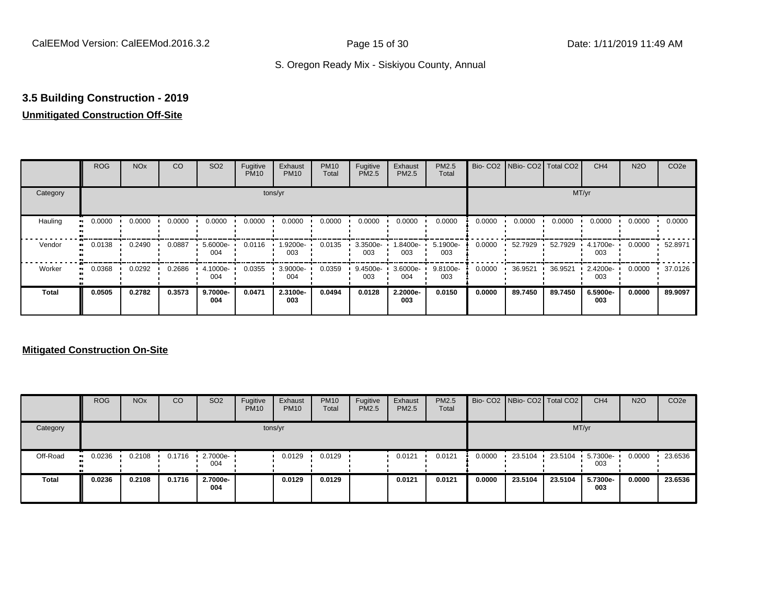# **3.5 Building Construction - 2019**

# **Unmitigated Construction Off-Site**

|                     | <b>ROG</b>          | <b>NO<sub>x</sub></b> | CO     | SO <sub>2</sub> | Fugitive<br><b>PM10</b> | Exhaust<br><b>PM10</b> | <b>PM10</b><br>Total | Fugitive<br><b>PM2.5</b> | Exhaust<br>PM2.5 | PM2.5<br>Total  |        | Bio- CO2   NBio- CO2   Total CO2 |         | CH <sub>4</sub> | <b>N2O</b> | CO <sub>2e</sub> |
|---------------------|---------------------|-----------------------|--------|-----------------|-------------------------|------------------------|----------------------|--------------------------|------------------|-----------------|--------|----------------------------------|---------|-----------------|------------|------------------|
| Category            |                     |                       |        |                 |                         | tons/yr                |                      |                          |                  |                 |        |                                  | MT/yr   |                 |            |                  |
| Hauling<br>œ        | 0.0000              | 0.0000                | 0.0000 | 0.0000          | 0.0000                  | 0.0000                 | 0.0000               | 0.0000                   | 0.0000           | 0.0000          | 0.0000 | 0.0000                           | 0.0000  | 0.0000          | 0.0000     | 0.0000           |
| Vendor              | 0.0138<br>$\bullet$ | 0.2490                | 0.0887 | 5.6000e-<br>004 | 0.0116                  | -9200e.<br>003         | 0.0135               | 3.3500e-<br>003          | -8400e.<br>003   | 5.1900e-<br>003 | 0.0000 | 52.7929                          | 52.7929 | 4.1700e-<br>003 | 0.0000     | 52.8971          |
| Worker<br>$\bullet$ | 0.0368              | 0.0292                | 0.2686 | 4.1000e-<br>004 | 0.0355                  | 3.9000e-<br>004        | 0.0359               | 9.4500e-<br>003          | 3.6000e-<br>004  | 9.8100e-<br>003 | 0.0000 | 36.9521                          | 36.9521 | 2.4200e-<br>003 | 0.0000     | 37.0126          |
| <b>Total</b>        | 0.0505              | 0.2782                | 0.3573 | 9.7000e-<br>004 | 0.0471                  | 2.3100e-<br>003        | 0.0494               | 0.0128                   | 2.2000e-<br>003  | 0.0150          | 0.0000 | 89.7450                          | 89.7450 | 6.5900e-<br>003 | 0.0000     | 89.9097          |

|              | <b>ROG</b>                 | <b>NO<sub>x</sub></b> | CO     | SO <sub>2</sub> | Fugitive<br><b>PM10</b> | Exhaust<br><b>PM10</b> | <b>PM10</b><br>Total | Fugitive<br><b>PM2.5</b> | Exhaust<br><b>PM2.5</b> | PM2.5<br>Total |        | Bio- CO2   NBio- CO2   Total CO2 |           | CH <sub>4</sub> | <b>N2O</b> | CO <sub>2</sub> e |
|--------------|----------------------------|-----------------------|--------|-----------------|-------------------------|------------------------|----------------------|--------------------------|-------------------------|----------------|--------|----------------------------------|-----------|-----------------|------------|-------------------|
| Category     |                            |                       |        |                 | tons/yr                 |                        |                      |                          |                         |                |        |                                  |           | MT/yr           |            |                   |
| Off-Road     | 0.0236<br>$\bullet\bullet$ | 0.2108                | 0.1716 | 2.7000e-<br>004 |                         | 0.0129                 | 0.0129               |                          | 0.0121                  | 0.0121         | 0.0000 | 23.5104                          | 23.5104 · | 5.7300e-<br>003 | 0.0000     | 23.6536           |
| <b>Total</b> | 0.0236                     | 0.2108                | 0.1716 | 2.7000e-<br>004 |                         | 0.0129                 | 0.0129               |                          | 0.0121                  | 0.0121         | 0.0000 | 23.5104                          | 23.5104   | 5.7300e-<br>003 | 0.0000     | 23.6536           |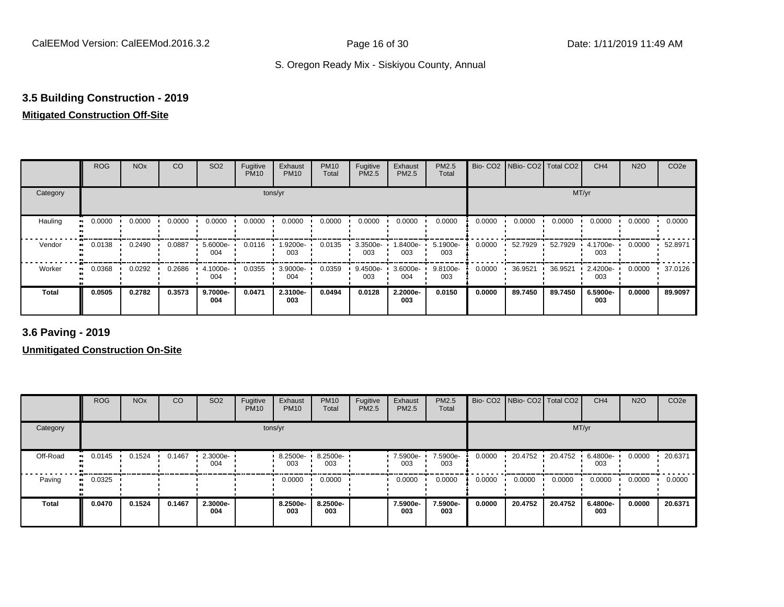# **3.5 Building Construction - 2019**

# **Mitigated Construction Off-Site**

|                           | <b>ROG</b> | <b>NO<sub>x</sub></b> | CO     | SO <sub>2</sub> | Fugitive<br><b>PM10</b> | Exhaust<br><b>PM10</b> | <b>PM10</b><br>Total | Fugitive<br>PM2.5 | Exhaust<br>PM2.5 | PM2.5<br>Total  |        | Bio- CO2 NBio- CO2 Total CO2 |         | CH <sub>4</sub> | <b>N2O</b> | CO <sub>2e</sub> |
|---------------------------|------------|-----------------------|--------|-----------------|-------------------------|------------------------|----------------------|-------------------|------------------|-----------------|--------|------------------------------|---------|-----------------|------------|------------------|
| Category                  |            |                       |        |                 |                         | tons/yr                |                      |                   |                  |                 |        |                              | MT/yr   |                 |            |                  |
| Hauling<br>$\blacksquare$ | 0.0000     | 0.0000                | 0.0000 | 0.0000          | 0.0000                  | 0.0000                 | 0.0000               | 0.0000            | 0.0000           | 0.0000          | 0.0000 | 0.0000                       | 0.0000  | 0.0000          | 0.0000     | 0.0000           |
| Vendor<br>$\bullet$       | 0.0138     | 0.2490                | 0.0887 | 5.6000e-<br>004 | 0.0116                  | 1.9200e-<br>003        | 0.0135               | 3.3500e-<br>003   | .8400e-<br>003   | 5.1900e-<br>003 | 0.0000 | 52.7929                      | 52.7929 | 4.1700e-<br>003 | 0.0000     | 52.8971          |
| Worker<br>$\bullet$       | 0.0368     | 0.0292                | 0.2686 | 4.1000e-<br>004 | 0.0355                  | 3.9000e-<br>004        | 0.0359               | 9.4500e-<br>003   | 3.6000e-<br>004  | 9.8100e-<br>003 | 0.0000 | 36.9521                      | 36.9521 | 2.4200e-<br>003 | 0.0000     | 37.0126          |
| <b>Total</b>              | 0.0505     | 0.2782                | 0.3573 | 9.7000e-<br>004 | 0.0471                  | 2.3100e-<br>003        | 0.0494               | 0.0128            | 2.2000e-<br>003  | 0.0150          | 0.0000 | 89.7450                      | 89.7450 | 6.5900e-<br>003 | 0.0000     | 89.9097          |

**3.6 Paving - 2019**

|              | <b>ROG</b>    | <b>NO<sub>x</sub></b> | CO     | SO <sub>2</sub> | Fugitive<br><b>PM10</b> | Exhaust<br><b>PM10</b> | <b>PM10</b><br>Total | Fugitive<br>PM2.5 | Exhaust<br><b>PM2.5</b> | PM2.5<br>Total  |        | Bio- CO2   NBio- CO2   Total CO2 |         | CH <sub>4</sub> | <b>N2O</b> | CO <sub>2e</sub> |
|--------------|---------------|-----------------------|--------|-----------------|-------------------------|------------------------|----------------------|-------------------|-------------------------|-----------------|--------|----------------------------------|---------|-----------------|------------|------------------|
| Category     |               |                       |        |                 |                         | tons/yr                |                      |                   |                         |                 |        |                                  | MT/yr   |                 |            |                  |
| Off-Road     | 0.0145        | 0.1524                | 0.1467 | 2.3000e-<br>004 |                         | 8.2500e-<br>003        | 8.2500e-<br>003      |                   | 7.5900e-<br>003         | 7.5900e-<br>003 | 0.0000 | 20.4752                          | 20.4752 | 6.4800e-<br>003 | 0.0000     | 20.6371          |
| Paving       | 0.0325<br>. . |                       |        |                 |                         | 0.0000                 | 0.0000               |                   | 0.0000                  | 0.0000          | 0.0000 | 0.0000                           | 0.0000  | 0.0000          | 0.0000     | 0.0000           |
| <b>Total</b> | 0.0470        | 0.1524                | 0.1467 | 2.3000e-<br>004 |                         | 8.2500e-<br>003        | 8.2500e-<br>003      |                   | 7.5900e-<br>003         | 7.5900e-<br>003 | 0.0000 | 20.4752                          | 20.4752 | 6.4800e-<br>003 | 0.0000     | 20.6371          |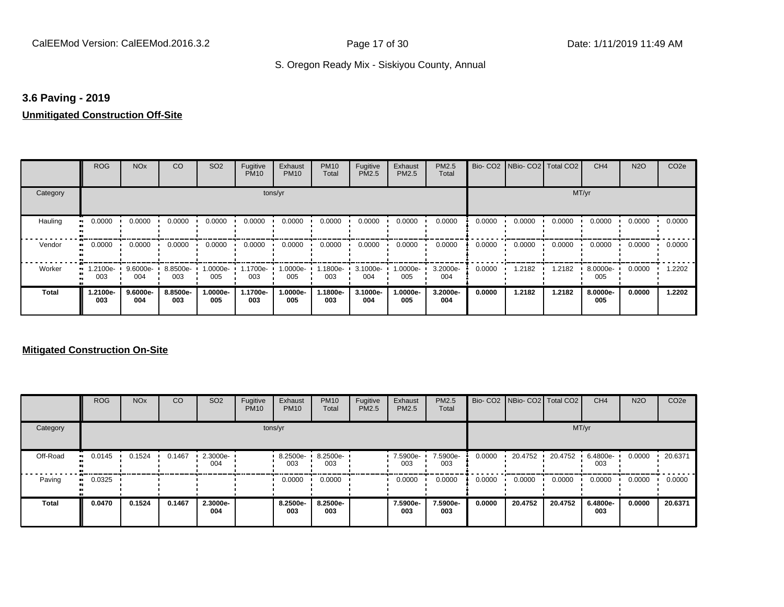#### **3.6 Paving - 2019**

#### **Unmitigated Construction Off-Site**

|              | <b>ROG</b>          | <b>NO<sub>x</sub></b> | CO              | SO <sub>2</sub> | Fugitive<br><b>PM10</b> | Exhaust<br><b>PM10</b> | <b>PM10</b><br>Total | Fugitive<br>PM2.5 | Exhaust<br>PM2.5 | <b>PM2.5</b><br>Total |        | Bio- CO2   NBio- CO2   Total CO2 |        | CH <sub>4</sub> | <b>N2O</b> | CO <sub>2e</sub> |
|--------------|---------------------|-----------------------|-----------------|-----------------|-------------------------|------------------------|----------------------|-------------------|------------------|-----------------------|--------|----------------------------------|--------|-----------------|------------|------------------|
| Category     |                     |                       |                 |                 | tons/yr                 |                        |                      |                   |                  |                       |        |                                  | MT/yr  |                 |            |                  |
| Hauling      | 0.0000              | 0.0000                | 0.0000          | 0.0000          | 0.0000                  | 0.0000                 | 0.0000               | 0.0000            | 0.0000           | 0.0000                | 0.0000 | 0.0000                           | 0.0000 | 0.0000          | 0.0000     | 0.0000           |
| Vendor       | 0.0000<br>$\bullet$ | 0.0000                | 0.0000          | 0.0000          | 0.0000                  | 0.0000                 | 0.0000               | 0.0000            | 0.0000           | 0.0000                | 0.0000 | 0.0000                           | 0.0000 | 0.0000          | 0.0000     | 0.0000           |
| Worker       | 1.2100e-<br>003     | 9.6000e-<br>004       | 8.8500e-<br>003 | 1.0000e-<br>005 | 1.1700e-<br>003         | 1.0000e-<br>005        | .1800e-<br>003       | 3.1000e-<br>004   | -.0000e<br>005   | 3.2000e-<br>004       | 0.0000 | 1.2182                           | 1.2182 | 8.0000e-<br>005 | 0.0000     | 1.2202           |
| <b>Total</b> | -2100e.<br>003      | 9.6000e-<br>004       | 8.8500e-<br>003 | 1.0000e-<br>005 | 1.1700e-<br>003         | 1.0000e-<br>005        | 1.1800e-<br>003      | 3.1000e-<br>004   | -.0000e<br>005   | 3.2000e-<br>004       | 0.0000 | 1.2182                           | 1.2182 | 8.0000e-<br>005 | 0.0000     | 1.2202           |

|          | <b>ROG</b>   | <b>NO<sub>x</sub></b> | CO     | SO <sub>2</sub> | Fugitive<br><b>PM10</b> | Exhaust<br><b>PM10</b> | <b>PM10</b><br>Total | Fugitive<br><b>PM2.5</b> | Exhaust<br><b>PM2.5</b> | PM2.5<br>Total  |        | Bio- CO2 NBio- CO2 Total CO2 |         | CH <sub>4</sub> | <b>N2O</b> | CO <sub>2e</sub> |
|----------|--------------|-----------------------|--------|-----------------|-------------------------|------------------------|----------------------|--------------------------|-------------------------|-----------------|--------|------------------------------|---------|-----------------|------------|------------------|
| Category |              |                       |        |                 |                         | tons/yr                |                      |                          |                         |                 |        |                              |         | MT/yr           |            |                  |
| Off-Road | 0.0145       | 0.1524                | 0.1467 | 2.3000e-<br>004 |                         | 8.2500e-<br>003        | 8.2500e-<br>003      |                          | 7.5900e-<br>003         | 7.5900e-<br>003 | 0.0000 | 20.4752                      | 20.4752 | 6.4800e-<br>003 | 0.0000     | 20.6371          |
| Paving   | 0.0325<br>ш. |                       |        |                 |                         | 0.0000                 | 0.0000               |                          | 0.0000                  | 0.0000          | 0.0000 | 0.0000                       | 0.0000  | 0.0000          | 0.0000     | 0.0000           |
| Total    | 0.0470       | 0.1524                | 0.1467 | 2.3000e-<br>004 |                         | 8.2500e-<br>003        | 8.2500e-<br>003      |                          | 7.5900e-<br>003         | 7.5900e-<br>003 | 0.0000 | 20.4752                      | 20.4752 | 6.4800e-<br>003 | 0.0000     | 20.6371          |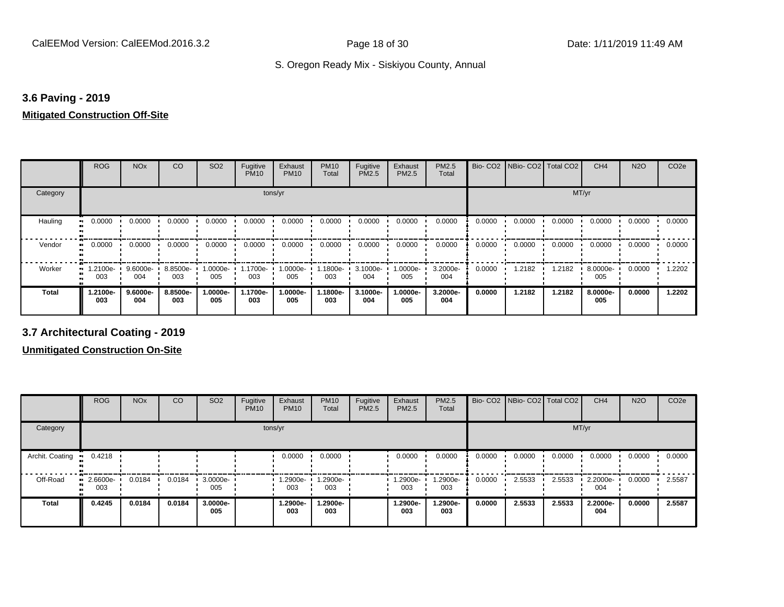# **3.6 Paving - 2019**

#### **Mitigated Construction Off-Site**

|              | <b>ROG</b>            | <b>NO<sub>x</sub></b> | CO              | SO <sub>2</sub> | Fugitive<br><b>PM10</b> | Exhaust<br><b>PM10</b> | <b>PM10</b><br>Total | Fugitive<br>PM2.5 | Exhaust<br>PM2.5 | PM2.5<br>Total  |        | Bio- CO2 NBio- CO2 Total CO2 |        | CH <sub>4</sub> | <b>N2O</b> | CO <sub>2e</sub> |
|--------------|-----------------------|-----------------------|-----------------|-----------------|-------------------------|------------------------|----------------------|-------------------|------------------|-----------------|--------|------------------------------|--------|-----------------|------------|------------------|
| Category     |                       |                       |                 |                 | tons/yr                 |                        |                      |                   |                  |                 |        |                              | MT/yr  |                 |            |                  |
| Hauling      | 0.0000<br>ш.          | 0.0000                | 0.0000          | 0.0000          | 0.0000                  | 0.0000                 | 0.0000               | 0.0000            | 0.0000           | 0.0000          | 0.0000 | 0.0000                       | 0.0000 | 0.0000          | 0.0000     | 0.0000           |
| Vendor       | 0.0000<br>ш.          | 0.0000                | 0.0000          | 0.0000          | 0.0000                  | 0.0000                 | 0.0000               | 0.0000            | 0.0000           | 0.0000          | 0.0000 | 0.0000                       | 0.0000 | 0.0000          | 0.0000     | 0.0000           |
| Worker       | 1.2100e-<br>ш.<br>003 | 9.6000e-<br>004       | 8.8500e-<br>003 | 1.0000e-<br>005 | 1.1700e-<br>003         | 1.0000e-<br>005        | 1.1800e-<br>003      | 3.1000e-<br>004   | -0000e- l<br>005 | 3.2000e-<br>004 | 0.0000 | 1.2182                       | 1.2182 | 8.0000e-<br>005 | 0.0000     | .2202            |
| <b>Total</b> | 1.2100e-<br>003       | $9.6000e -$<br>004    | 8.8500e-<br>003 | 1.0000e-<br>005 | 1.1700e-<br>003         | 1.0000e-<br>005        | 1.1800e-<br>003      | 3.1000e-<br>004   | .0000e-<br>005   | 3.2000e-<br>004 | 0.0000 | 1.2182                       | 1.2182 | 8.0000e-<br>005 | 0.0000     | 1.2202           |

**3.7 Architectural Coating - 2019**

|                 | <b>ROG</b>      | <b>NO<sub>x</sub></b> | CO     | SO <sub>2</sub> | Fugitive<br><b>PM10</b> | Exhaust<br><b>PM10</b> | <b>PM10</b><br>Total | Fugitive<br><b>PM2.5</b> | Exhaust<br><b>PM2.5</b> | <b>PM2.5</b><br>Total |        | Bio- CO2   NBio- CO2   Total CO2 |        | CH <sub>4</sub> | <b>N2O</b> | CO <sub>2e</sub> |
|-----------------|-----------------|-----------------------|--------|-----------------|-------------------------|------------------------|----------------------|--------------------------|-------------------------|-----------------------|--------|----------------------------------|--------|-----------------|------------|------------------|
| Category        |                 |                       |        |                 |                         | tons/yr                |                      |                          |                         |                       |        |                                  | MT/yr  |                 |            |                  |
| Archit. Coating | 0.4218<br>.     |                       |        |                 |                         | 0.0000                 | 0.0000               |                          | 0.0000                  | 0.0000                | 0.0000 | 0.0000                           | 0.0000 | 0.0000          | 0.0000     | 0.0000           |
| Off-Road        | 2.6600e-<br>003 | 0.0184                | 0.0184 | 3.0000e-<br>005 |                         | 1.2900e-<br>003        | 1.2900e-<br>003      |                          | .2900e-<br>003          | 1.2900e-<br>003       | 0.0000 | 2.5533                           | 2.5533 | 2.2000e-<br>004 | 0.0000     | 2.5587           |
| <b>Total</b>    | 0.4245          | 0.0184                | 0.0184 | 3.0000e-<br>005 |                         | 1.2900e-<br>003        | 1.2900e-<br>003      |                          | 1.2900e-<br>003         | 1.2900e-<br>003       | 0.0000 | 2.5533                           | 2.5533 | 2.2000e-<br>004 | 0.0000     | 2.5587           |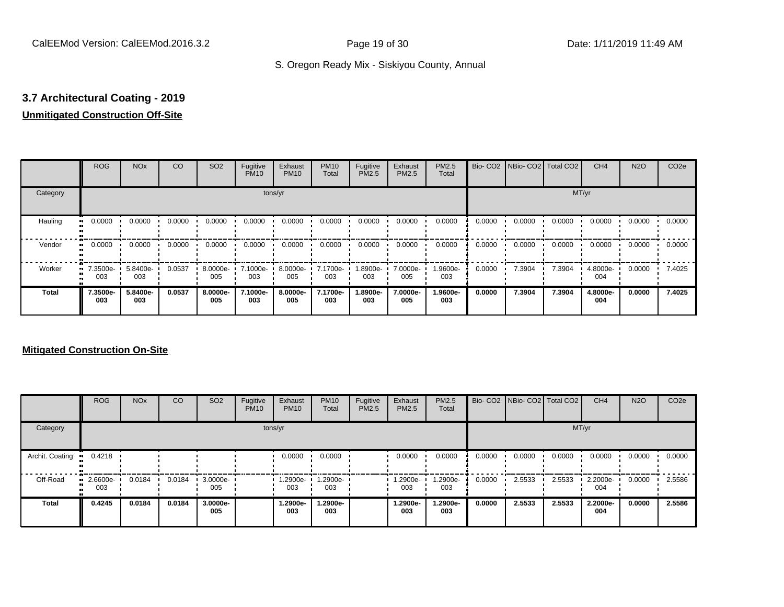# **3.7 Architectural Coating - 2019**

# **Unmitigated Construction Off-Site**

|               | <b>ROG</b>          | <b>NO<sub>x</sub></b> | CO     | SO <sub>2</sub> | Fugitive<br><b>PM10</b> | Exhaust<br><b>PM10</b> | <b>PM10</b><br>Total | Fugitive<br><b>PM2.5</b> | Exhaust<br>PM2.5 | <b>PM2.5</b><br>Total |        | Bio- CO2   NBio- CO2   Total CO2 |        | CH <sub>4</sub> | <b>N2O</b> | CO <sub>2e</sub> |
|---------------|---------------------|-----------------------|--------|-----------------|-------------------------|------------------------|----------------------|--------------------------|------------------|-----------------------|--------|----------------------------------|--------|-----------------|------------|------------------|
| Category      |                     |                       |        |                 | tons/yr                 |                        |                      |                          |                  |                       |        |                                  | MT/yr  |                 |            |                  |
| Hauling<br>81 | 0.0000              | 0.0000                | 0.0000 | 0.0000          | 0.0000                  | 0.0000                 | 0.0000               | 0.0000                   | 0.0000           | 0.0000                | 0.0000 | 0.0000                           | 0.0000 | 0.0000          | 0.0000     | 0.0000           |
| Vendor        | 0.0000<br>$\bullet$ | 0.0000                | 0.0000 | 0.0000          | 0.0000                  | 0.0000                 | 0.0000               | 0.0000                   | 0.0000           | 0.0000                | 0.0000 | 0.0000                           | 0.0000 | 0.0000          | 0.0000     | 0.0000           |
| Worker        | $-7.3500e-$<br>003  | 5.8400e-<br>003       | 0.0537 | 8.0000e-<br>005 | 7.1000e-<br>003         | 8.0000e-<br>005        | 7.1700e-<br>003      | 1.8900e-<br>003          | 7.0000e-<br>005  | 1.9600e-<br>003       | 0.0000 | 7.3904                           | 7.3904 | 4.8000e-<br>004 | 0.0000     | 7.4025           |
| <b>Total</b>  | 7.3500e-<br>003     | 5.8400e-<br>003       | 0.0537 | 8.0000e-<br>005 | 7.1000e-<br>003         | 8.0000e-<br>005        | 7.1700e-<br>003      | 1.8900e-<br>003          | 7.0000e-<br>005  | 1.9600e-<br>003       | 0.0000 | 7.3904                           | 7.3904 | 4.8000e-<br>004 | 0.0000     | 7.4025           |

|                 | <b>ROG</b>         | <b>NO<sub>x</sub></b> | CO     | SO <sub>2</sub> | Fugitive<br><b>PM10</b> | Exhaust<br><b>PM10</b> | <b>PM10</b><br>Total | Fugitive<br>PM2.5 | Exhaust<br><b>PM2.5</b> | PM2.5<br>Total  |        | Bio- CO2   NBio- CO2   Total CO2 |        | CH <sub>4</sub> | <b>N2O</b> | CO <sub>2e</sub> |
|-----------------|--------------------|-----------------------|--------|-----------------|-------------------------|------------------------|----------------------|-------------------|-------------------------|-----------------|--------|----------------------------------|--------|-----------------|------------|------------------|
| Category        |                    |                       |        |                 |                         | tons/yr                |                      |                   |                         |                 |        |                                  | MT/yr  |                 |            |                  |
| Archit. Coating | 0.4218             |                       |        |                 |                         | 0.0000                 | 0.0000               |                   | 0.0000                  | 0.0000          | 0.0000 | 0.0000                           | 0.0000 | 0.0000          | 0.0000     | 0.0000           |
| Off-Road        | $-2.6600e-$<br>003 | 0.0184                | 0.0184 | 3.0000e-<br>005 |                         | 1.2900e-<br>003        | 1.2900e-<br>003      |                   | 1.2900e-<br>003         | 1.2900e-<br>003 | 0.0000 | 2.5533                           | 2.5533 | 2.2000e-<br>004 | 0.0000     | 2.5586           |
| <b>Total</b>    | 0.4245             | 0.0184                | 0.0184 | 3.0000e-<br>005 |                         | 1.2900e-<br>003        | 1.2900e-<br>003      |                   | 1.2900e-<br>003         | 1.2900e-<br>003 | 0.0000 | 2.5533                           | 2.5533 | 2.2000e-<br>004 | 0.0000     | 2.5586           |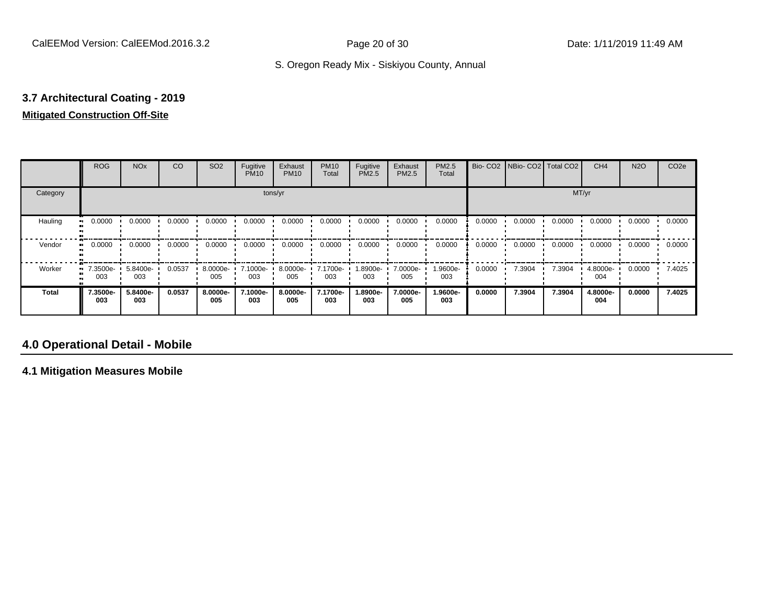# **3.7 Architectural Coating - 2019 Mitigated Construction Off-Site**

#### ROG NOx CO SO2 Fugitive<br>PM10 Exhaust PM<sub>10</sub> PM10 Total Fugitive PM2.5 Exhaust PM2.5 PM2.5 Total Bio- CO2 | NBio- CO2 | Total CO2 | CH4 | N2O | CO2e Category tons/yr MT/yr Hauling 0.0000 0.0000 0.0000 0.0000 0.0000 0.0000 0.0000 0.0000 0.0000 0.0000 0.0000 0.0000 0.0000 0.0000 0.0000 0.0000 Vendor 0.0000 0.0000 0.0000 0.0000 0.0000 0.0000 0.0000 0.0000 0.0000 0.0000 0.0000 0.0000 0.0000 0.0000 0.0000 0.0000 Worker 7.3500e-003 5.8400e-003  $0.0537 \div 8.0000e$ -005 7.1000e-003 8.0000e-005 7.1700e-003 1.8900e-003 7.0000e-005 1.9600e-003 0.0000 7.3904 7.3904 4.8000e-004 0.0000 7.4025 **Total 7.3500e-003 5.8400e-003 0.0537 8.0000e-005 7.1000e-003 8.0000e-005 7.1700e-003 1.8900e-003 7.0000e-005 1.9600e-003 0.0000 7.3904 7.3904 4.8000e-004 0.0000 7.4025**

### **4.0 Operational Detail - Mobile**

**4.1 Mitigation Measures Mobile**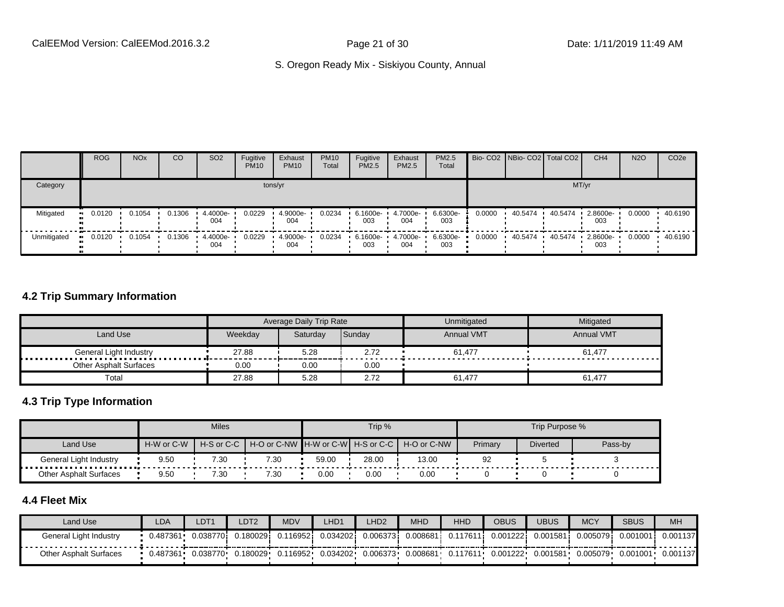|             | <b>ROG</b>          | <b>NO<sub>x</sub></b> | CO     | SO <sub>2</sub> | Fugitive<br><b>PM10</b> | Exhaust<br><b>PM10</b> | <b>PM10</b><br>Total | Fugitive<br><b>PM2.5</b> | Exhaust<br>PM2.5 | <b>PM2.5</b><br>Total |        | Bio- CO2   NBio- CO2   Total CO2 |         | CH <sub>4</sub> | <b>N2O</b> | CO <sub>2e</sub> |
|-------------|---------------------|-----------------------|--------|-----------------|-------------------------|------------------------|----------------------|--------------------------|------------------|-----------------------|--------|----------------------------------|---------|-----------------|------------|------------------|
| Category    |                     |                       |        |                 |                         | tons/yr                |                      |                          |                  |                       |        |                                  |         | MT/yr           |            |                  |
| Mitigated   | 0.0120<br><b>HI</b> | 0.1054                | 0.1306 | 4.4000e-<br>004 | 0.0229                  | 4.9000e-<br>004        | 0.0234               | 6.1600e-<br>003          | 4.7000e-<br>004  | 6.6300e-<br>003       | 0.0000 | 40.5474                          | 40.5474 | 2.8600e-<br>003 | 0.0000     | 40.6190          |
| Unmitigated | 0.0120              | 0.1054                | 0.1306 | 4.4000e-<br>004 | 0.0229                  | 4.9000e-<br>004        | 0.0234               | 6.1600e-<br>003          | 4.7000e-<br>004  | 6.6300e-<br>003       | 0.0000 | 40.5474                          | 40.5474 | 2.8600e-<br>003 | 0.0000     | 40.6190          |

#### **4.2 Trip Summary Information**

|                               |         | <b>Average Daily Trip Rate</b> |        | Unmitigated       | Mitigated         |
|-------------------------------|---------|--------------------------------|--------|-------------------|-------------------|
| Land Use                      | Weekday | Saturdav                       | Sunday | <b>Annual VMT</b> | <b>Annual VMT</b> |
|                               | 27.88   | 5.28                           | 2.72   | 61.477            | 61.477            |
| <b>Other Asphalt Surfaces</b> | 0.00    | 0.00                           | 0.00   |                   |                   |
| Total                         | 27.88   | 5.28                           | 2.72   | 61,477            | 61,477            |

#### **4.3 Trip Type Information**

|                        |            | <b>Miles</b>   |                                   |       | Trip % |             |         | Trip Purpose %  |         |
|------------------------|------------|----------------|-----------------------------------|-------|--------|-------------|---------|-----------------|---------|
| Land Use               | H-W or C-W | $H-S$ or $C-C$ | H-O or C-NW H-W or C-W H-S or C-C |       |        | H-O or C-NW | Primary | <b>Diverted</b> | Pass-by |
| General Light Industry | 9.50       | 7.30           | 7.30                              | 59.00 | 28.00  | 13.00       | 92      |                 |         |
| Other Asphalt Surfaces | 9.50       | 7.30           | 7.30                              | 0.00  | 0.00   | 0.00        |         |                 |         |

# **4.4 Fleet Mix**

| Land Use                      | LDA      | DT1       | DT2      | <b>MDV</b> | LHD1     | LHD <sub>2</sub> | <b>MHD</b>   | <b>HHD</b> | OBUS      | JBUS     | <b>MCY</b> | <b>SBUS</b> | <b>MH</b> |
|-------------------------------|----------|-----------|----------|------------|----------|------------------|--------------|------------|-----------|----------|------------|-------------|-----------|
| General Light Industry        | 0.487361 | 0.0387701 | 0.180029 | .116952i   | 0.034202 | 0.0063731        | $0.008681$ i | 0.117611   | 0.001222i | 0.001581 | 0.005079   | 0.001001    | 0.001137  |
| <b>Other Asphalt Surfaces</b> | 0.487361 | 0.038770  | 0.180029 | 0.116952   | 0.034202 | 0.006373         | 0.008681     | 0.117611   | 0.001222  | 0.001581 | 0.005079   | 0.001001    | 0.001137  |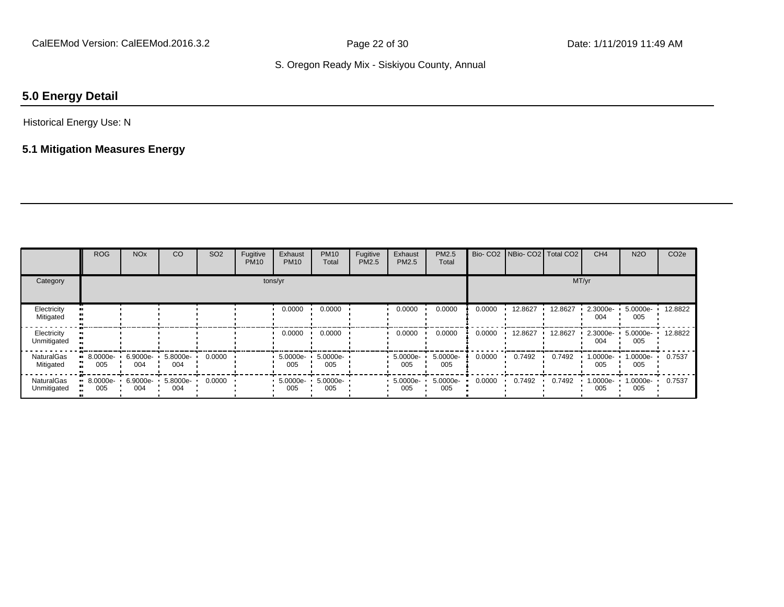# **5.0 Energy Detail**

#### Historical Energy Use: N

# **5.1 Mitigation Measures Energy**

|                                | <b>ROG</b>                     | <b>NO<sub>x</sub></b> | CO              | <b>SO2</b> | Fugitive<br><b>PM10</b> | Exhaust<br><b>PM10</b> | <b>PM10</b><br>Total | Fugitive<br>PM2.5 | Exhaust<br>PM2.5  | PM2.5<br>Total  |        | Bio- CO2   NBio- CO2   Total CO2 |         | CH <sub>4</sub> | <b>N2O</b>      | CO <sub>2e</sub> |
|--------------------------------|--------------------------------|-----------------------|-----------------|------------|-------------------------|------------------------|----------------------|-------------------|-------------------|-----------------|--------|----------------------------------|---------|-----------------|-----------------|------------------|
| Category                       |                                |                       |                 |            |                         | tons/yr                |                      |                   |                   |                 |        |                                  | MT/yr   |                 |                 |                  |
| Electricity<br>Mitigated       |                                |                       |                 |            |                         | 0.0000                 | 0.0000               |                   | 0.0000            | 0.0000          | 0.0000 | 12.8627                          | 12.8627 | 2.3000e-<br>004 | 5.0000e-<br>005 | 12.8822          |
| Electricity<br>Unmitigated     |                                |                       |                 |            |                         | 0.0000                 | 0.0000               |                   | 0.0000            | 0.0000          | 0.0000 | 12.8627                          | 12.8627 | 2.3000e-<br>004 | 5.0000e-<br>005 | 12.8822          |
| <b>NaturalGas</b><br>Mitigated | $\blacksquare$ 8.0000e-<br>005 | 6.9000e-<br>004       | 5.8000e-<br>004 | 0.0000     |                         | 5.0000e-<br>005        | 5.0000e-<br>005      |                   | 5.0000e-<br>005   | 5.0000e-<br>005 | 0.0000 | 0.7492                           | 0.7492  | 1.0000e-<br>005 | 1.0000e-<br>005 | 0.7537           |
| NaturalGas<br>Unmitigated      | $\blacksquare$ 8.0000e-<br>005 | 6.9000e-<br>004       | 5.8000e-<br>004 | 0.0000     |                         | 5.0000e-<br>005        | 5.0000e-<br>005      |                   | 5.0000e- ·<br>005 | 5.0000e-<br>005 | 0.0000 | 0.7492                           | 0.7492  | 1.0000e-<br>005 | 1.0000e-<br>005 | 0.7537           |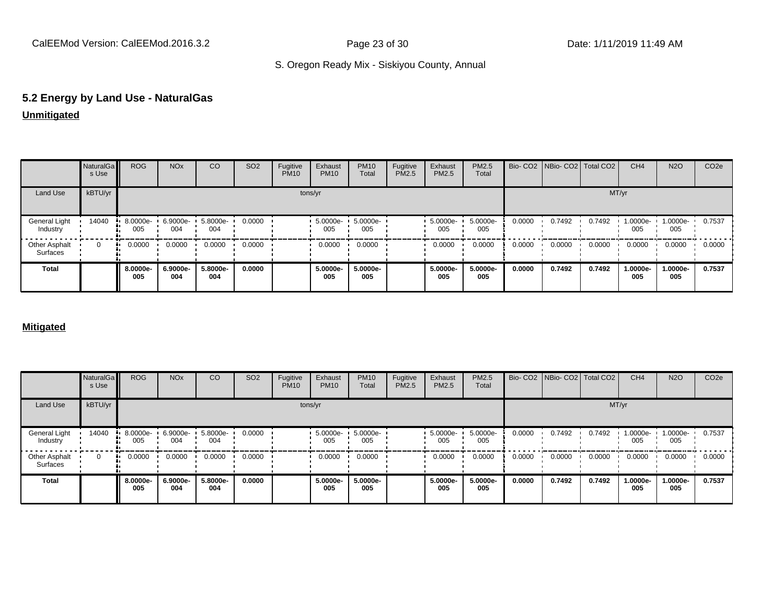# **5.2 Energy by Land Use - NaturalGas**

# **Unmitigated**

|                                  | NaturalGa<br>s Use | <b>ROG</b>      | <b>NO<sub>x</sub></b> | CO              | SO <sub>2</sub> | Fugitive<br><b>PM10</b> | Exhaust<br><b>PM10</b> | <b>PM10</b><br>Total | Fugitive<br>PM2.5 | Exhaust<br>PM2.5 | PM2.5<br>Total  |        | Bio- CO2   NBio- CO2   Total CO2 |        | CH <sub>4</sub> | <b>N2O</b>      | CO <sub>2e</sub> |
|----------------------------------|--------------------|-----------------|-----------------------|-----------------|-----------------|-------------------------|------------------------|----------------------|-------------------|------------------|-----------------|--------|----------------------------------|--------|-----------------|-----------------|------------------|
| Land Use                         | kBTU/yr            |                 |                       |                 |                 |                         | tons/yr                |                      |                   |                  |                 |        |                                  | MT/yr  |                 |                 |                  |
| General Light<br>Industry        | 14040              | 8.0000e-<br>005 | 6.9000e-<br>004       | 5.8000e-<br>004 | 0.0000          |                         | 5.0000e-<br>005        | 5.0000e-<br>005      |                   | 5.0000e-<br>005  | 5.0000e-<br>005 | 0.0000 | 0.7492                           | 0.7492 | 1.0000e-<br>005 | 1.0000e-<br>005 | 0.7537           |
| <b>Other Asphalt</b><br>Surfaces | $\mathbf 0$        | 0.0000          | 0.0000                | 0.0000          | 0.0000          |                         | 0.0000                 | 0.0000               |                   | 0.0000           | 0.0000          | 0.0000 | 0.0000                           | 0.0000 | 0.0000          | 0.0000          | 0.0000           |
| <b>Total</b>                     |                    | 8.0000e-<br>005 | 6.9000e-<br>004       | 5.8000e-<br>004 | 0.0000          |                         | 5.0000e-<br>005        | 5.0000e-<br>005      |                   | 5.0000e-<br>005  | 5.0000e-<br>005 | 0.0000 | 0.7492                           | 0.7492 | 1.0000e-<br>005 | 1.0000e-<br>005 | 0.7537           |

#### **Mitigated**

|                           | NaturalGa<br>s Use | <b>ROG</b>      | <b>NO<sub>x</sub></b> | CO              | SO <sub>2</sub> | Fugitive<br><b>PM10</b> | Exhaust<br><b>PM10</b> | <b>PM10</b><br>Total | Fugitive<br><b>PM2.5</b> | Exhaust<br>PM2.5 | PM2.5<br>Total  |        |        | Bio- CO2   NBio- CO2   Total CO2 | CH <sub>4</sub> | <b>N2O</b>         | CO <sub>2e</sub> |
|---------------------------|--------------------|-----------------|-----------------------|-----------------|-----------------|-------------------------|------------------------|----------------------|--------------------------|------------------|-----------------|--------|--------|----------------------------------|-----------------|--------------------|------------------|
| Land Use                  | kBTU/yr            |                 |                       |                 |                 |                         | tons/yr                |                      |                          |                  |                 |        |        | MT/yr                            |                 |                    |                  |
| General Light<br>Industry | 14040              | 8.0000e-<br>005 | $6.9000e -$<br>004    | 5.8000e-<br>004 | 0.0000          |                         | 5.0000e-<br>005        | 5.0000e-<br>005      |                          | 5.0000e-<br>005  | 5.0000e-<br>005 | 0.0000 | 0.7492 | 0.7492                           | 1.0000e-<br>005 | $1.0000e -$<br>005 | 0.7537           |
| Other Asphalt<br>Surfaces | $\mathbf 0$        | 0.0000<br>      | 0.0000                | 0.0000          | 0.0000          |                         | 0.0000                 | 0.0000               |                          | 0.0000           | 0.0000          | 0.0000 | 0.0000 | 0.0000                           | 0.0000          | 0.0000             | 0.0000           |
| Total                     |                    | 8.0000e-<br>005 | 6.9000e-<br>004       | 5.8000e-<br>004 | 0.0000          |                         | 5.0000e-<br>005        | 5.0000e-<br>005      |                          | 5.0000e-<br>005  | 5.0000e-<br>005 | 0.0000 | 0.7492 | 0.7492                           | 1.0000e-<br>005 | 1.0000e-<br>005    | 0.7537           |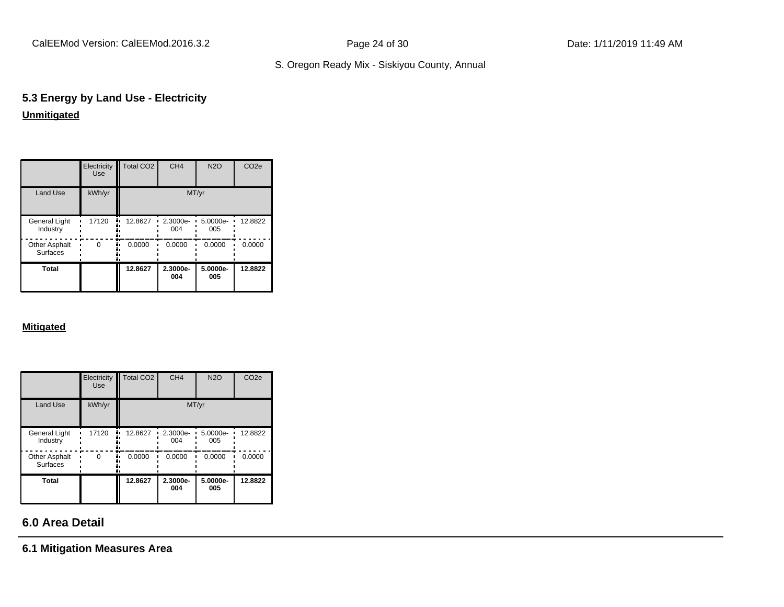CalEEMod Version: CalEEMod.2016.3.2 Page 24 of 30 Date: 1/11/2019 11:49 AM

# S. Oregon Ready Mix - Siskiyou County, Annual

# **5.3 Energy by Land Use - Electricity Unmitigated**

|                                  | Electricity<br><b>Use</b> | <b>Total CO2</b> | CH <sub>4</sub> | <b>N2O</b>      | CO <sub>2e</sub> |
|----------------------------------|---------------------------|------------------|-----------------|-----------------|------------------|
| <b>Land Use</b>                  | kWh/yr                    |                  | MT/yr           |                 |                  |
| <b>General Light</b><br>Industry | 17120                     | 12.8627          | 2.3000e-<br>004 | 5.0000e-<br>005 | 12.8822          |
| Other Asphalt<br><b>Surfaces</b> | $\Omega$                  | 0.0000           | 0.0000          | 0.0000          | 0.0000           |
| Total                            |                           | 12.8627          | 2.3000e-<br>004 | 5.0000e-<br>005 | 12.8822          |

#### **Mitigated**

|                                  | Electricity<br><b>Use</b> | Total CO <sub>2</sub> | CH <sub>4</sub> | <b>N2O</b>      | CO <sub>2e</sub> |
|----------------------------------|---------------------------|-----------------------|-----------------|-----------------|------------------|
| Land Use                         | kWh/yr                    |                       |                 | MT/yr           |                  |
| <b>General Light</b><br>Industry | 17120                     | 12.8627               | 2.3000e-<br>004 | 5.0000e-<br>005 | 12.8822          |
| Other Asphalt<br><b>Surfaces</b> | $\Omega$                  | 0.0000                | 0.0000          | 0.0000          | 0.0000           |
| Total                            |                           | 12.8627               | 2.3000e-<br>004 | 5.0000e-<br>005 | 12.8822          |

# **6.0 Area Detail**

**6.1 Mitigation Measures Area**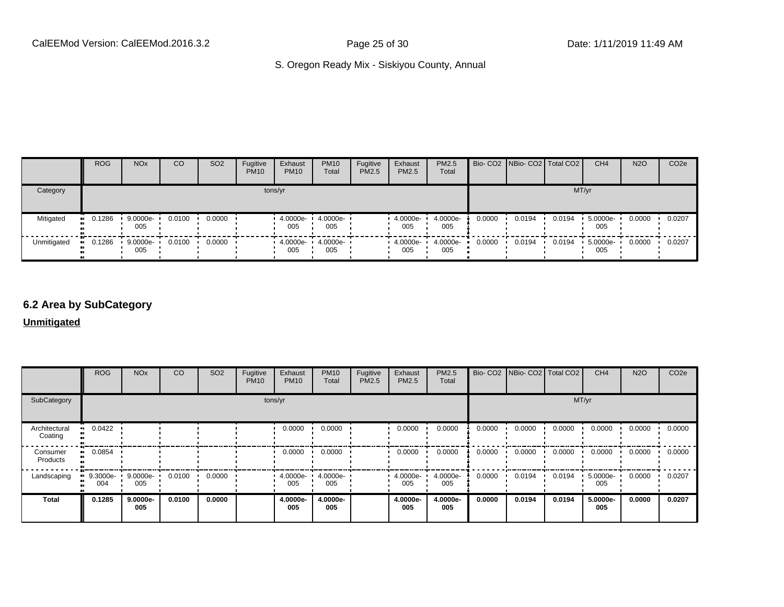|             | <b>ROG</b>            | NO <sub>x</sub>   | <sub>CO</sub> | SO <sub>2</sub> | Fugitive<br><b>PM10</b> | Exhaust<br><b>PM10</b> | <b>PM10</b><br>Total | Fugitive<br>PM2.5 | Exhaust<br><b>PM2.5</b> | <b>PM2.5</b><br>Total |        | Bio- CO2   NBio- CO2   Total CO2 |        | CH <sub>4</sub> | <b>N2O</b> | CO <sub>2e</sub> |
|-------------|-----------------------|-------------------|---------------|-----------------|-------------------------|------------------------|----------------------|-------------------|-------------------------|-----------------------|--------|----------------------------------|--------|-----------------|------------|------------------|
| Category    |                       |                   |               |                 |                         | tons/yr                |                      |                   |                         |                       |        |                                  | MT/yr  |                 |            |                  |
| Mitigated   | $\blacksquare$ 0.1286 | ■ 9.0000e-<br>005 | 0.0100        | 0.0000          |                         | 4.0000e-<br>005        | 4.0000e-<br>005      |                   | 4.0000e-<br>005         | 4.0000e-<br>005       | 0.0000 | 0.0194                           | 0.0194 | 5.0000e-<br>005 | 0.0000     | 0.0207           |
| Unmitigated | 0.1286                | $.90000e-$<br>005 | 0.0100        | 0.0000          |                         | $4.0000e -$<br>005     | 4.0000e-<br>005      |                   | 4.0000e-<br>005         | 4.0000e-<br>005       | 0.0000 | 0.0194                           | 0.0194 | 5.0000e-<br>005 | 0.0000     | 0.0207           |

# **6.2 Area by SubCategory**

**Unmitigated**

|                          | <b>ROG</b>      | <b>NO<sub>x</sub></b> | CO     | SO <sub>2</sub> | Fugitive<br><b>PM10</b> | Exhaust<br><b>PM10</b> | <b>PM10</b><br>Total | Fugitive<br>PM2.5 | Exhaust<br>PM2.5 | PM2.5<br>Total  |        | Bio- CO2   NBio- CO2   Total CO2 |        | CH <sub>4</sub> | <b>N2O</b> | CO <sub>2e</sub> |
|--------------------------|-----------------|-----------------------|--------|-----------------|-------------------------|------------------------|----------------------|-------------------|------------------|-----------------|--------|----------------------------------|--------|-----------------|------------|------------------|
| SubCategory              |                 |                       |        |                 | tons/yr                 |                        |                      |                   |                  |                 |        |                                  | MT/yr  |                 |            |                  |
| Architectural<br>Coating | 0.0422          |                       |        |                 |                         | 0.0000                 | 0.0000               |                   | 0.0000           | 0.0000          | 0.0000 | 0.0000                           | 0.0000 | 0.0000          | 0.0000     | 0.0000           |
| Consumer<br>Products     | 0.0854          |                       |        |                 |                         | 0.0000                 | 0.0000               |                   | 0.0000           | 0.0000          | 0.0000 | 0.0000                           | 0.0000 | 0.0000          | 0.0000     | 0.0000           |
| Landscaping              | 9.3000e-<br>004 | 9.0000e-<br>005       | 0.0100 | 0.0000          |                         | 4.0000e-<br>005        | 4.0000e-<br>005      |                   | 4.0000e-<br>005  | 4.0000e-<br>005 | 0.0000 | 0.0194                           | 0.0194 | 5.0000e-<br>005 | 0.0000     | 0.0207           |
| <b>Total</b>             | 0.1285          | 9.0000e-<br>005       | 0.0100 | 0.0000          |                         | 4.0000e-<br>005        | 4.0000e-<br>005      |                   | 4.0000e-<br>005  | 4.0000e-<br>005 | 0.0000 | 0.0194                           | 0.0194 | 5.0000e-<br>005 | 0.0000     | 0.0207           |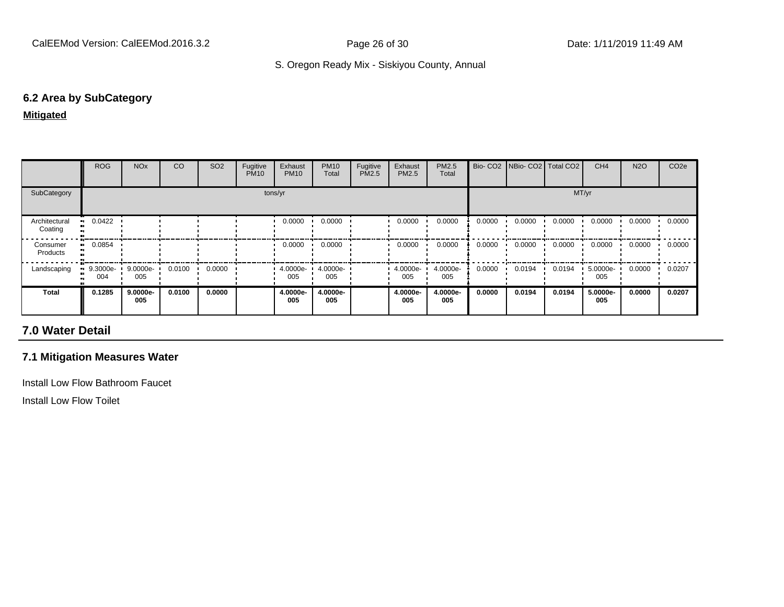### **6.2 Area by SubCategory**

#### **Mitigated**

|                          | <b>ROG</b>         | <b>NO<sub>x</sub></b> | CO     | SO <sub>2</sub> | Fugitive<br><b>PM10</b> | Exhaust<br><b>PM10</b> | <b>PM10</b><br>Total | Fugitive<br>PM2.5 | Exhaust<br><b>PM2.5</b> | <b>PM2.5</b><br>Total |        | Bio- CO2   NBio- CO2   Total CO2 |        | CH <sub>4</sub> | <b>N2O</b> | CO <sub>2e</sub> |
|--------------------------|--------------------|-----------------------|--------|-----------------|-------------------------|------------------------|----------------------|-------------------|-------------------------|-----------------------|--------|----------------------------------|--------|-----------------|------------|------------------|
| SubCategory              |                    |                       |        |                 |                         | tons/yr                |                      |                   |                         |                       |        |                                  | MT/yr  |                 |            |                  |
| Architectural<br>Coating | 0.0422             |                       |        |                 |                         | 0.0000                 | 0.0000               |                   | 0.0000                  | 0.0000                | 0.0000 | 0.0000                           | 0.0000 | 0.0000          | 0.0000     | 0.0000           |
| Consumer<br>Products     | 0.0854             |                       |        |                 |                         | 0.0000                 | 0.0000               |                   | 0.0000                  | 0.0000                | 0.0000 | 0.0000                           | 0.0000 | 0.0000          | 0.0000     | 0.0000           |
| Landscaping              | $9.3000e -$<br>004 | $9.0000e -$<br>005    | 0.0100 | 0.0000          |                         | 4.0000e- '<br>005      | 4.0000e-<br>005      |                   | 4.0000e-<br>005         | 4.0000e-<br>005       | 0.0000 | 0.0194                           | 0.0194 | 5.0000e-<br>005 | 0.0000     | 0.0207           |
| <b>Total</b>             | 0.1285             | 9.0000e-<br>005       | 0.0100 | 0.0000          |                         | 4.0000e-<br>005        | 4.0000e-<br>005      |                   | 4.0000e-<br>005         | 4.0000e-<br>005       | 0.0000 | 0.0194                           | 0.0194 | 5.0000e-<br>005 | 0.0000     | 0.0207           |

# **7.0 Water Detail**

#### **7.1 Mitigation Measures Water**

Install Low Flow Bathroom Faucet

Install Low Flow Toilet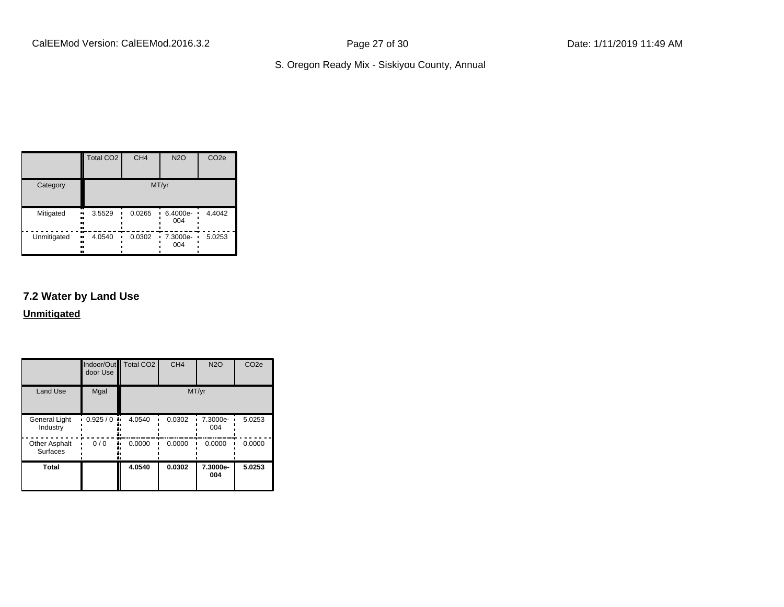|                                | Total CO <sub>2</sub> | CH <sub>4</sub> | <b>N2O</b>         | CO <sub>2e</sub> |
|--------------------------------|-----------------------|-----------------|--------------------|------------------|
| Category                       |                       |                 | MT/yr              |                  |
| Mitigated<br>.,<br><br>        | 3.5529<br>            | 0.0265          | 6.4000e-<br>004    | 4.4042           |
| Unmitigated<br>ш.<br><br><br>ш | 4.0540                | 0.0302          | $-7.3000e-$<br>004 | 5.0253           |

# **7.2 Water by Land Use**

#### **Unmitigated**

|                                         | Indoor/Out<br>door Use | <b>Total CO2</b> | CH <sub>4</sub> | <b>N2O</b>      | CO <sub>2e</sub> |
|-----------------------------------------|------------------------|------------------|-----------------|-----------------|------------------|
| <b>Land Use</b>                         | Mgal                   |                  |                 | MT/yr           |                  |
| <b>General Light</b><br>Industry        | 0.925/0<br>۰.          | 4.0540           | 0.0302          | 7.3000e-<br>004 | 5.0253           |
| <b>Other Asphalt</b><br><b>Surfaces</b> | 0/0                    | 0.0000           | 0.0000          | 0.0000          | 0.0000           |
| <b>Total</b>                            |                        | 4.0540           | 0.0302          | 7.3000e-<br>004 | 5.0253           |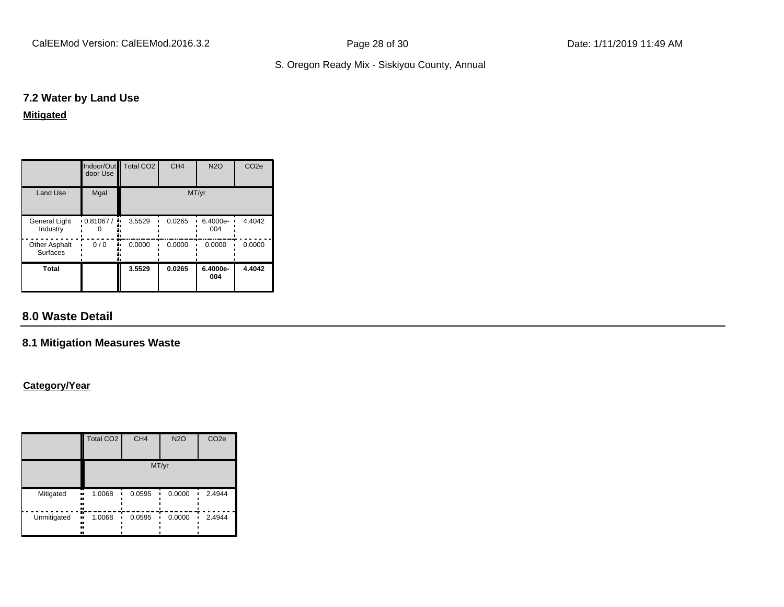CalEEMod Version: CalEEMod.2016.3.2 Page 28 of 30 Date: 1/11/2019 11:49 AM

# S. Oregon Ready Mix - Siskiyou County, Annual

#### **7.2 Water by Land Use**

#### **Mitigated**

|                                         | door Use                  | Indoor/Out Total CO2 | CH <sub>4</sub> | N2O             | CO <sub>2e</sub> |
|-----------------------------------------|---------------------------|----------------------|-----------------|-----------------|------------------|
| <b>Land Use</b>                         | Mgal                      |                      |                 | MT/yr           |                  |
| <b>General Light</b><br>Industry        | $\cdot$ 0.81067 / $\cdot$ | 3.5529               | 0.0265          | 6.4000e-<br>004 | 4.4042           |
| <b>Other Asphalt</b><br><b>Surfaces</b> | 0/0                       | 0.0000               | 0.0000          | 0.0000          | 0.0000           |
| Total                                   |                           | 3.5529               | 0.0265          | 6.4000e-<br>004 | 4.4042           |

# **8.0 Waste Detail**

#### **8.1 Mitigation Measures Waste**

#### **Category/Year**

|                     | <b>Total CO2</b>             | CH <sub>4</sub> | <b>N2O</b> | CO <sub>2e</sub> |  |  |
|---------------------|------------------------------|-----------------|------------|------------------|--|--|
|                     | MT/yr                        |                 |            |                  |  |  |
| Mitigated<br>.,<br> | 1.0068<br><br>               | 0.0595          | 0.0000     | 2.4944           |  |  |
| Unmitigated         | m<br>1.0068<br><br><br>ш<br> | 0.0595          | 0.0000     | 2.4944           |  |  |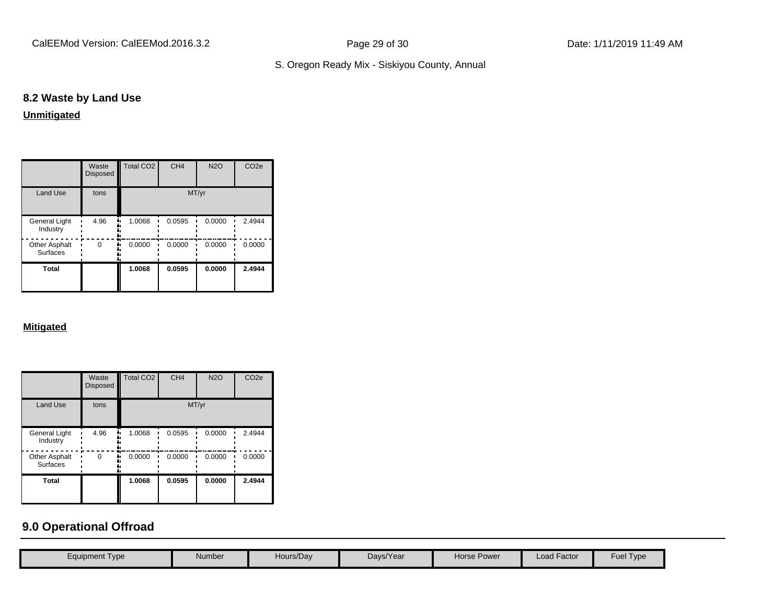# **8.2 Waste by Land Use**

# **Unmitigated**

|                                  | Waste<br><b>Disposed</b> | Total CO <sub>2</sub> | CH <sub>4</sub> | <b>N2O</b> | CO <sub>2e</sub> |
|----------------------------------|--------------------------|-----------------------|-----------------|------------|------------------|
| <b>Land Use</b>                  | tons                     |                       | MT/yr           |            |                  |
| General Light<br>Industry        | 4.96                     | 1.0068                | 0.0595          | 0.0000     | 2.4944           |
| Other Asphalt<br><b>Surfaces</b> | $\Omega$                 | 0.0000                | 0.0000          | 0.0000     | 0.0000           |
| <b>Total</b>                     |                          | 1.0068                | 0.0595          | 0.0000     | 2.4944           |

#### **Mitigated**

|                                         | Waste<br><b>Disposed</b> | Total CO <sub>2</sub> | CH <sub>4</sub> | <b>N2O</b> | CO <sub>2e</sub> |
|-----------------------------------------|--------------------------|-----------------------|-----------------|------------|------------------|
| Land Use                                | tons                     |                       | MT/yr           |            |                  |
| General Light<br>Industry               | 4.96                     | 1.0068<br>٠.          | 0.0595          | 0.0000     | 2.4944           |
| <b>Other Asphalt</b><br><b>Surfaces</b> | $\Omega$                 | 0.0000                | 0.0000          | 0.0000     | 0.0000           |
| <b>Total</b>                            |                          | 1.0068                | 0.0595          | 0.0000     | 2.4944           |

# **9.0 Operational Offroad**

| Equipment Type | Number | Hours/Day | Days/Year | <b>Horse Power</b> | Load Factor | Fuel T<br>Type |
|----------------|--------|-----------|-----------|--------------------|-------------|----------------|